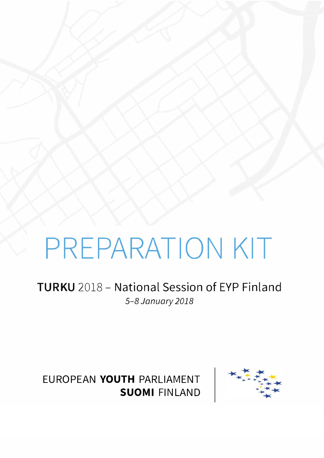# PREPARATION KIT

### TURKU 2018 - National Session of EYP Finland *5-8 January 2018*



EUROPEAN **YOUTH** PARLIAMENT **SUOMI** FINLAND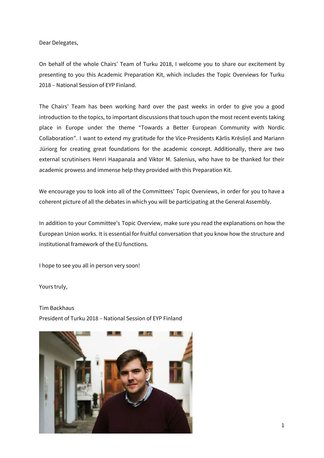Dear Delegates,

On behalf of the whole Chairs' Team of Turku 2018, I welcome you to share our excitement by presenting to you this Academic Preparation Kit, which includes the Topic Overviews for Turku 2018 – National Session of EYP Finland.

The Chairs' Team has been working hard over the past weeks in order to give you a good introduction to the topics, to important discussions that touch upon the most recent events taking place in Europe under the theme "Towards a Better European Community with Nordic Collaboration". I want to extend my gratitude for the Vice-Presidents Kārlis Krēsliņš and Mariann Jüriorg for creating great foundations for the academic concept. Additionally, there are two external scrutinisers Henri Haapanala and Viktor M. Salenius, who have to be thanked for their academic prowess and immense help they provided with this Preparation Kit.

We encourage you to look into all of the Committees' Topic Overviews, in order for you to have a coherent picture of all the debates in which you will be participating at the General Assembly.

In addition to your Committee's Topic Overview, make sure you read the explanations on how the European Union works. It is essential for fruitful conversation that you know how the structure and institutional framework of the EU functions.

I hope to see you all in person very soon!

Yours truly,

Tim Backhaus President of Turku 2018 – National Session of EYP Finland

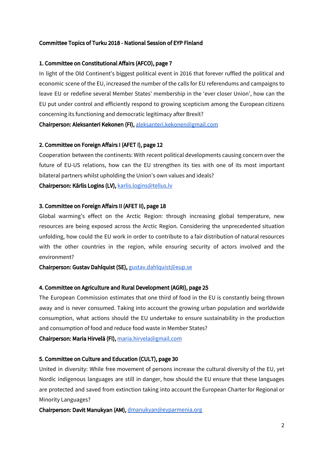#### Committee Topics of Turku 2018 - National Session of EYP Finland

#### 1. Committee on Constitutional Affairs (AFCO), page 7

In light of the Old Continent's biggest political event in 2016 that forever ruffled the political and economic scene of the EU, increased the number of the calls for EU referendums and campaigns to leave EU or redefine several Member States' membership in the 'ever closer Union', how can the EU put under control and efficiently respond to growing scepticism among the European citizens concerning its functioning and democratic legitimacy after Brexit?

Chairperson: Aleksanteri Kekonen (FI), [aleksanteri.kekonen@gmail.com](mailto:aleksanteri.kekonen@gmail.com)

#### 2. Committee on Foreign Affairs I (AFET I), page 12

Cooperation between the continents: With recent political developments causing concern over the future of EU-US relations, how can the EU strengthen its ties with one of its most important bilateral partners whilst upholding the Union's own values and ideals?

Chairperson: Kārlis Logins (LV), [karlis.logins@tellus.lv](mailto:karlis.logins@tellus.lv)

#### 3. Committee on Foreign Affairs II (AFET II), page 18

Global warming's effect on the Arctic Region: through increasing global temperature, new resources are being exposed across the Arctic Region. Considering the unprecedented situation unfolding, how could the EU work in order to contribute to a fair distribution of natural resources with the other countries in the region, while ensuring security of actors involved and the environment?

Chairperson: Gustav Dahlquist (SE), [gustav.dahlquist@eup.se](mailto:gustav.dahlquist@eup.se)

#### 4. Committee on Agriculture and Rural Development (AGRI), page 25

The European Commission estimates that one third of food in the EU is constantly being thrown away and is never consumed. Taking into account the growing urban population and worldwide consumption, what actions should the EU undertake to ensure sustainability in the production and consumption of food and reduce food waste in Member States?

Chairperson: Maria Hirvelä (FI), [maria.hirvela@gmail.com](mailto:maria.hirvela@gmail.com)

#### 5. Committee on Culture and Education (CULT), page 30

United in diversity: While free movement of persons increase the cultural diversity of the EU, yet Nordic indigenous languages are still in danger, how should the EU ensure that these languages are protected and saved from extinction taking into account the European Charter for Regional or Minority Languages?

Chairperson: Davit Manukyan (AM), [dmanukyan@eyparmenia.org](mailto:dmanukyan@eyparmenia.org)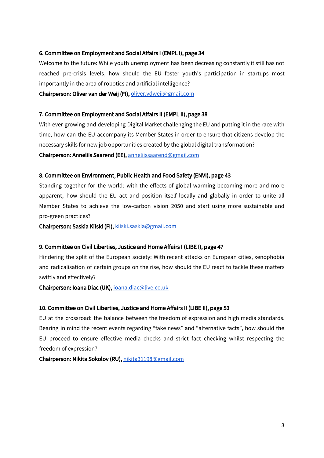#### 6. Committee on Employment and Social Affairs I (EMPL I), page 34

Welcome to the future: While youth unemployment has been decreasing constantly it still has not reached pre-crisis levels, how should the EU foster youth's participation in startups most importantly in the area of robotics and artificial intelligence?

Chairperson: Oliver van der Weij (FI), [oliver.vdweij@gmail.com](mailto:oliver.vdweij@gmail.com)

#### 7. Committee on Employment and Social Affairs II (EMPL II), page 38

With ever growing and developing Digital Market challenging the EU and putting it in the race with time, how can the EU accompany its Member States in order to ensure that citizens develop the necessary skills for new job opportunities created by the global digital transformation? Chairperson: Anneliis Saarend (EE), [anneliissaarend@gmail.com](mailto:anneliissaarend@gmail.com)

#### 8. Committee on Environment, Public Health and Food Safety (ENVI), page 43

Standing together for the world: with the effects of global warming becoming more and more apparent, how should the EU act and position itself locally and globally in order to unite all Member States to achieve the low-carbon vision 2050 and start using more sustainable and pro-green practices?

Chairperson: Saskia Kiiski (FI), [kiiski.saskia@gmail.com](mailto:kiiski.saskia@gmail.com)

#### 9. Committee on Civil Liberties, Justice and Home Affairs I (LIBE I), page 47

Hindering the split of the European society: With recent attacks on European cities, xenophobia and radicalisation of certain groups on the rise, how should the EU react to tackle these matters swiftly and effectively?

Chairperson: Ioana Diac (UK), [ioana.diac@live.co.uk](mailto:ioana.diac@live.co.uk)

#### 10. Committee on Civil Liberties, Justice and Home Affairs II (LIBE II), page 53

EU at the crossroad: the balance between the freedom of expression and high media standards. Bearing in mind the recent events regarding "fake news" and "alternative facts", how should the EU proceed to ensure effective media checks and strict fact checking whilst respecting the freedom of expression?

Chairperson: Nikita Sokolov (RU), [nikita31198@gmail.com](mailto:nikita31198@gmail.com)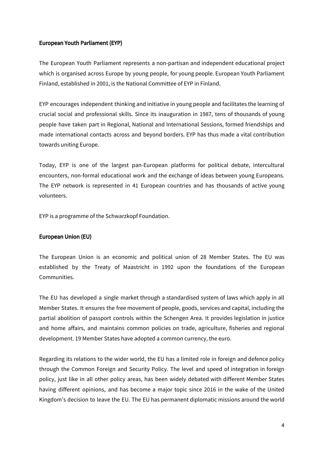#### European Youth Parliament (EYP)

The European Youth Parliament represents a non-partisan and independent educational project which is organised across Europe by young people, for young people. European Youth Parliament Finland, established in 2001, is the National Committee of EYP in Finland.

EYP encourages independent thinking and initiative in young people and facilitates the learning of crucial social and professional skills. Since its inauguration in 1987, tens of thousands of young people have taken part in Regional, National and International Sessions, formed friendships and made international contacts across and beyond borders. EYP has thus made a vital contribution towards uniting Europe.

Today, EYP is one of the largest pan-European platforms for political debate, intercultural encounters, non-formal educational work and the exchange of ideas between young Europeans. The EYP network is represented in 41 European countries and has thousands of active young volunteers.

EYP is a programme of the Schwarzkopf Foundation.

#### European Union (EU)

The European Union is an economic and political union of 28 Member States. The EU was established by the Treaty of Maastricht in 1992 upon the foundations of the European Communities.

The EU has developed a single market through a standardised system of laws which apply in all Member States. It ensures the free movement of people, goods, services and capital, including the partial abolition of passport controls within the Schengen Area. It provides legislation in justice and home affairs, and maintains common policies on trade, agriculture, fisheries and regional development. 19 Member States have adopted a common currency, the euro.

Regarding its relations to the wider world, the EU has a limited role in foreign and defence policy through the Common Foreign and Security Policy. The level and speed of integration in foreign policy, just like in all other policy areas, has been widely debated with different Member States having different opinions, and has become a major topic since 2016 in the wake of the United Kingdom's decision to leave the EU. The EU has permanent diplomatic missions around the world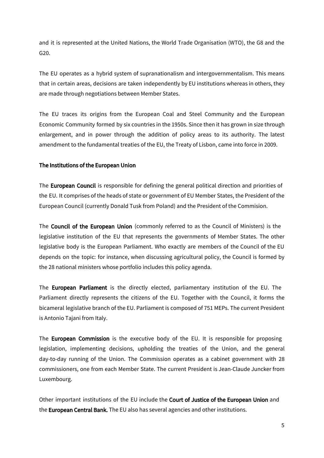and it is represented at the United Nations, the World Trade Organisation (WTO), the G8 and the G20.

The EU operates as a hybrid system of supranationalism and intergovernmentalism. This means that in certain areas, decisions are taken independently by EU institutions whereas in others, they are made through negotiations between Member States.

The EU traces its origins from the European Coal and Steel Community and the European Economic Community formed by six countries in the 1950s. Since then it has grown in size through enlargement, and in power through the addition of policy areas to its authority. The latest amendment to the fundamental treaties of the EU, the Treaty of Lisbon, came into force in 2009.

#### The Institutions of the European Union

The **European Council** is responsible for defining the general political direction and priorities of the EU. It comprises of the heads of state or government of EU Member States, the President of the European Council (currently Donald Tusk from Poland) and the President of the Commision.

The Council of the European Union (commonly referred to as the Council of Ministers) is the legislative institution of the EU that represents the governments of Member States. The other legislative body is the European Parliament. Who exactly are members of the Council of the EU depends on the topic: for instance, when discussing agricultural policy, the Council is formed by the 28 national ministers whose portfolio includes this policy agenda.

The European Parliament is the directly elected, parliamentary institution of the EU. The Parliament directly represents the citizens of the EU. Together with the Council, it forms the bicameral legislative branch of the EU. Parliament is composed of 751 MEPs. The current President is Antonio Tajani from Italy.

The **European Commission** is the executive body of the EU. It is responsible for proposing legislation, implementing decisions, upholding the treaties of the Union, and the general day-to-day running of the Union. The Commission operates as a cabinet government with 28 commissioners, one from each Member State. The current President is Jean-Claude Juncker from Luxembourg.

Other important institutions of the EU include the Court of Justice of the European Union and the **European Central Bank.** The EU also has several agencies and other institutions.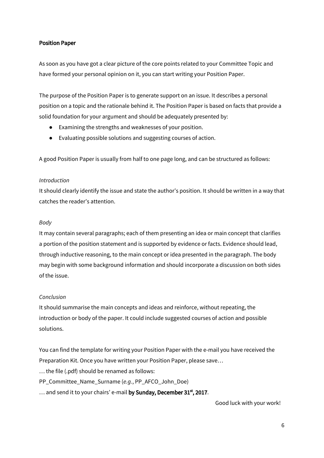#### Position Paper

As soon as you have got a clear picture of the core points related to your Committee Topic and have formed your personal opinion on it, you can start writing your Position Paper.

The purpose of the Position Paper is to generate support on an issue. It describes a personal position on a topic and the rationale behind it. The Position Paper is based on facts that provide a solid foundation for your argument and should be adequately presented by:

- Examining the strengths and weaknesses of your position.
- Evaluating possible solutions and suggesting courses of action.

A good Position Paper is usually from half to one page long, and can be structured as follows:

#### *Introduction*

It should clearly identify the issue and state the author's position. It should be written in a way that catches the reader's attention.

#### *Body*

It may contain several paragraphs; each of them presenting an idea or main concept that clarifies a portion of the position statement and is supported by evidence or facts. Evidence should lead, through inductive reasoning, to the main concept or idea presented in the paragraph. The body may begin with some background information and should incorporate a discussion on both sides of the issue.

#### *Conclusion*

It should summarise the main concepts and ideas and reinforce, without repeating, the introduction or body of the paper. It could include suggested courses of action and possible solutions.

You can find the template for writing your Position Paper with the e-mail you have received the Preparation Kit. Once you have written your Position Paper, please save…

… the file (.pdf) should be renamed as follows:

PP\_Committee\_Name\_Surname (*e.g.*, PP\_AFCO\_John\_Doe)

 $\ldots$  and send it to your chairs' e-mail **by Sunday, December 31** $^{\rm st}$ **, 2017**.

Good luck with your work!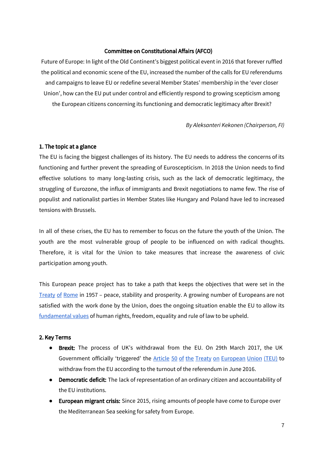#### Committee on Constitutional Affairs (AFCO)

Future of Europe: In light of the Old Continent's biggest political event in 2016 that forever ruffled the political and economic scene of the EU, increased the number of the calls for EU referendums and campaigns to leave EU or redefine several Member States' membership in the 'ever closer Union', how can the EU put under control and efficiently respond to growing scepticism among the European citizens concerning its functioning and democratic legitimacy after Brexit?

*By Aleksanteri Kekonen (Chairperson, FI)*

#### 1. The topic at a glance

The EU is facing the biggest challenges of its history. The EU needs to address the concerns of its functioning and further prevent the spreading of Euroscepticism. In 2018 the Union needs to find effective solutions to many long-lasting crisis, such as the lack of democratic legitimacy, the struggling of Eurozone, the influx of immigrants and Brexit negotiations to name few. The rise of populist and nationalist parties in Member States like Hungary and Poland have led to increased tensions with Brussels.

In all of these crises, the EU has to remember to focus on the future the youth of the Union. The youth are the most vulnerable group of people to be influenced on with radical thoughts. Therefore, it is vital for the Union to take measures that increase the awareness of civic participation among youth.

This European peace project has to take a path that keeps the objectives that were set in the [Treaty](http://www.telegraph.co.uk/news/0/treaty-rome/) of Rome in 1957 – peace, stability and prosperity. A growing number of Europeans are not satisfied with the work done by the Union, does the ongoing situation enable the EU to allow its [fundamental](https://europa.eu/european-union/about-eu/eu-in-brief_en) values of human rights, freedom, equality and rule of law to be upheld.

#### 2. Key Terms

- **Brexit:** The process of UK's withdrawal from the EU. On 29th March 2017, the UK Government officially 'triggered' the Article 50 of the Treaty on [European](http://eur-lex.europa.eu/legal-content/en/TXT/?uri=CELEX%3A12012M%2FTXT) Union (TEU) to withdraw from the EU according to the turnout of the referendum in June 2016.
- **Democratic deficit:** The lack of representation of an ordinary citizen and accountability of the EU institutions.
- **European migrant crisis:** Since 2015, rising amounts of people have come to Europe over the Mediterranean Sea seeking for safety from Europe.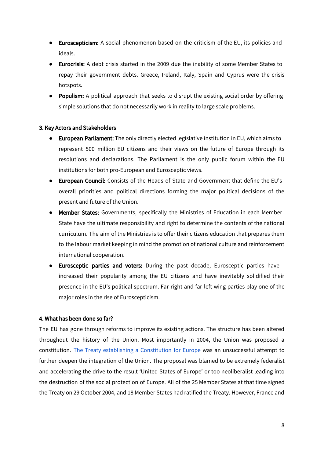- **●** Euroscepticism: A social phenomenon based on the criticism of the EU, its policies and ideals.
- **●** Eurocrisis: A debt crisis started in the 2009 due the inability of some Member States to repay their government debts. Greece, Ireland, Italy, Spain and Cyprus were the crisis hotspots.
- **●** Populism: A political approach that seeks to disrupt the existing social order by offering simple solutions that do not necessarily work in reality to large scale problems.

#### 3. Key Actors and Stakeholders

- European Parliament: The only directly elected legislative institution in EU, which aims to represent 500 million EU citizens and their views on the future of Europe through its resolutions and declarations. The Parliament is the only public forum within the EU institutions for both pro-European and Eurosceptic views.
- European Council: Consists of the Heads of State and Government that define the EU's overall priorities and political directions forming the major political decisions of the present and future of the Union.
- Member States: Governments, specifically the Ministries of Education in each Member State have the ultimate responsibility and right to determine the contents of the national curriculum. The aim of the Ministries is to offer their citizens education that prepares them to the labour market keeping in mind the promotion of national culture and reinforcement international cooperation.
- Eurosceptic parties and voters: During the past decade, Eurosceptic parties have increased their popularity among the EU citizens and have inevitably solidified their presence in the EU's political spectrum. Far-right and far-left wing parties play one of the major roles in the rise of Euroscepticism.

#### 4. What has been done so far?

The EU has gone through reforms to improve its existing actions. The structure has been altered throughout the history of the Union. Most importantly in 2004, the Union was proposed a constitution. The Treaty establishing a [Constitution](https://europa.eu/european-union/sites/europaeu/files/docs/body/treaty_establishing_a_constitution_for_europe_en.pdf) for Europe was an unsuccessful attempt to further deepen the integration of the Union. The proposal was blamed to be extremely federalist and accelerating the drive to the result 'United States of Europe' or too neoliberalist leading into the destruction of the social protection of Europe. All of the 25 Member States at that time signed the Treaty on 29 October 2004, and 18 Member States had ratified the Treaty. However, France and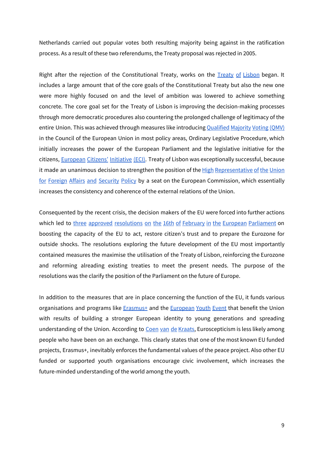Netherlands carried out popular votes both resulting majority being against in the ratification process. As a result of these two referendums, the Treaty proposal was rejected in 2005.

Right after the rejection of the Constitutional Treaty, works on the Treaty of [Lisbon](http://eur-lex.europa.eu/legal-content/EN/TXT/?uri=LEGISSUM:ai0033) began. It includes a large amount that of the core goals of the Constitutional Treaty but also the new one were more highly focused on and the level of ambition was lowered to achieve something concrete. The core goal set for the Treaty of Lisbon is improving the decision-making processes through more democratic procedures also countering the prolonged challenge of legitimacy of the entire Union. This was achieved through measures like introducing [Qualified](http://eur-lex.europa.eu/summary/glossary/qualified_majority.html) Majority Voting (QMV) in the Council of the European Union in most policy areas, Ordinary Legislative Procedure, which initially increases the power of the European Parliament and the legislative initiative for the citizens, [European](http://ec.europa.eu/citizens-initiative/public/basic-facts) Citizens' Initiative (ECI). Treaty of Lisbon was exceptionally successful, because it made an unanimous decision to strengthen the position of the High [Representative](http://eur-lex.europa.eu/summary/glossary/high_representative_cfsp.html) of the [Union](http://eur-lex.europa.eu/summary/glossary/high_representative_cfsp.html) for Foreign Affairs and [Security](http://eur-lex.europa.eu/summary/glossary/high_representative_cfsp.html) Policy by a seat on the European Commission, which essentially increases the consistency and coherence of the external relations of the Union.

Consequented by the recent crisis, the decision makers of the EU were forced into further actions which led to three approved [resolutions](http://www.europarl.europa.eu/news/en/press-room/20170210IPR61812/parliament-sets-out-its-vision-for-the-future-of-europe) on the 16th of February in the European Parliament on boosting the capacity of the EU to act, restore citizen's trust and to prepare the Eurozone for outside shocks. The resolutions exploring the future development of the EU most importantly contained measures the maximise the utilisation of the Treaty of Lisbon, reinforcing the Eurozone and reforming alreading existing treaties to meet the present needs. The purpose of the resolutions was the clarify the position of the Parliament on the future of Europe.

In addition to the measures that are in place concerning the function of the EU, it funds various organisations and programs like **Erasmus**+ and the **[European](http://www.europarl.europa.eu/european-youth-event/en/home/home.html) Youth Event** that benefit the Union with results of building a stronger European identity to young generations and spreading understanding of the Union. According to Coen van de [Kraats,](http://ifair.eu/preaching-to-the-converted-euroscepticism-education-and-cross-border-experiences/) Euroscepticism is less likely among people who have been on an exchange. This clearly states that one of the most known EU funded projects, Erasmus+, inevitably enforces the fundamental values of the peace project. Also other EU funded or supported youth organisations encourage civic involvement, which increases the future-minded understanding of the world among the youth.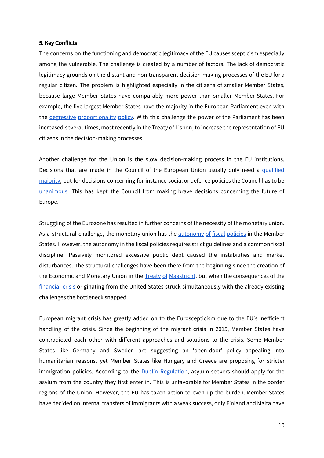#### 5. Key Conflicts

The concerns on the functioning and democratic legitimacy of the EU causes scepticism especially among the vulnerable. The challenge is created by a number of factors. The lack of democratic legitimacy grounds on the distant and non transparent decision making processes of the EU for a regular citizen. The problem is highlighted especially in the citizens of smaller Member States, because large Member States have comparably more power than smaller Member States. For example, the five largest Member States have the majority in the European Parliament even with the degressive [proportionality](http://www.europarl.europa.eu/RegData/etudes/IDAN/2017/583117/IPOL_IDA(2017)583117_EN.pdf) policy. With this challenge the power of the Parliament has been increased several times, most recently in the Treaty of Lisbon, to increase the representation of EU citizens in the decision-making processes.

Another challenge for the Union is the slow decision-making process in the EU institutions. Decisions that are made in the Council of the European Union usually only need a [qualified](http://www.consilium.europa.eu/en/council-eu/voting-system/qualified-majority/) [majority,](http://www.consilium.europa.eu/en/council-eu/voting-system/qualified-majority/) but for decisions concerning for instance social or defence policies the Council has to be [unanimous](http://www.consilium.europa.eu/en/council-eu/voting-system/unanimity/). This has kept the Council from making brave decisions concerning the future of Europe.

Struggling of the Eurozone has resulted in further concerns of the necessity of the monetary union. As a structural challenge, the monetary union has the [autonomy](https://www.ecb.europa.eu/mopo/eaec/fiscal/html/index.en.html) of fiscal policies in the Member States. However, the autonomy in the fiscal policies requires strict guidelines and a common fiscal discipline. Passively monitored excessive public debt caused the instabilities and market disturbances. The structural challenges have been there from the beginning since the creation of the Economic and Monetary Union in the Treaty of [Maastricht,](https://europa.eu/european-union/sites/europaeu/files/docs/body/treaty_on_european_union_en.pdf) but when the consequences of the [financial](https://www.thebalance.com/2008-financial-crisis-3305679) crisis originating from the United States struck simultaneously with the already existing challenges the bottleneck snapped.

European migrant crisis has greatly added on to the Euroscepticism due to the EU's inefficient handling of the crisis. Since the beginning of the migrant crisis in 2015, Member States have contradicted each other with different approaches and solutions to the crisis. Some Member States like Germany and Sweden are suggesting an 'open-door' policy appealing into humanitarian reasons, yet Member States like Hungary and Greece are proposing for stricter immigration policies. According to the **Dublin [Regulation](http://eur-lex.europa.eu/legal-content/EN/ALL/;jsessionid=jHNlTp3HLjqw8mqGbQSpZh1VWpjCyVQq14Hgcztw4pbfSQZffnrn!557467765?uri=CELEX:32013R0604)**, asylum seekers should apply for the asylum from the country they first enter in. This is unfavorable for Member States in the border regions of the Union. However, the EU has taken action to even up the burden. Member States have decided on internal transfers of immigrants with a weak success, only Finland and Malta have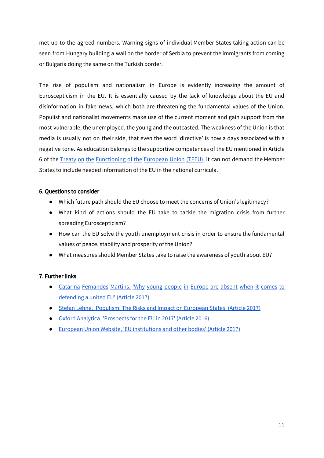met up to the agreed numbers. Warning signs of individual Member States taking action can be seen from Hungary building a wall on the border of Serbia to prevent the immigrants from coming or Bulgaria doing the same on the Turkish border.

The rise of populism and nationalism in Europe is evidently increasing the amount of Euroscepticism in the EU. It is essentially caused by the lack of knowledge about the EU and disinformation in fake news, which both are threatening the fundamental values of the Union. Populist and nationalist movements make use of the current moment and gain support from the most vulnerable, the unemployed, the young and the outcasted. The weakness of the Union is that media is usually not on their side, that even the word 'directive' is now a days associated with a negative tone. As education belongs to the supportive competences of the EU mentioned in Article 6 of the Treaty on the [Functioning](http://eur-lex.europa.eu/legal-content/EN/TXT/?uri=celex%3A12012E%2FTXT) of the European Union (TFEU), it can not demand the Member States to include needed information of the EU in the national curricula.

#### 6. Questions to consider

- Which future path should the EU choose to meet the concerns of Union's legitimacy?
- What kind of actions should the EU take to tackle the migration crisis from further spreading Euroscepticism?
- How can the EU solve the youth unemployment crisis in order to ensure the fundamental values of peace, stability and prosperity of the Union?
- What measures should Member States take to raise the awareness of youth about EU?

#### 7. Further links

- Catarina [Fernandes](http://www.businessinsider.com/why-youth-are-not-defending-european-union-2017-1?r=US&IR=T&IR=T) Martins, 'Why young people in Europe are absent when it comes to [defending](http://www.businessinsider.com/why-youth-are-not-defending-european-union-2017-1?r=US&IR=T&IR=T) a united EU' (Article 2017)
- Stefan Lehne, ['Populism:](http://carnegieeurope.eu/2017/06/06/populism-risks-and-impact-on-european-states-pub-71170) The Risks and Impact on European States' (Article 2017)
- Oxford Analytica, ['Prospects](https://dailybrief.oxan.com/Analysis/DB214713/Prospects-for-the-EU-in-2017) for the EU in 2017' (Article 2016)
- **European Union Website, 'EU [institutions](https://europa.eu/european-union/about-eu/institutions-bodies_en) and other bodies' (Article 2017)**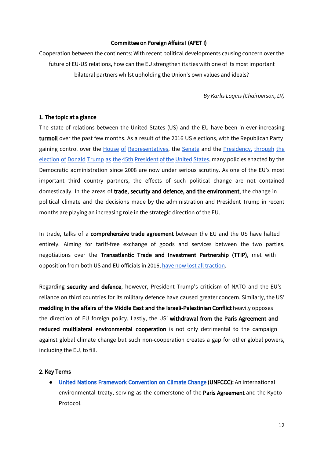#### Committee on Foreign Affairs I (AFET I)

Cooperation between the continents: With recent political developments causing concern over the future of EU-US relations, how can the EU strengthen its ties with one of its most important bilateral partners whilst upholding the Union's own values and ideals?

*By Kārlis Logins (Chairperson, LV)*

#### 1. The topic at a glance

The state of relations between the United States (US) and the EU have been in ever-increasing turmoil over the past few months. As a result of the 2016 US elections, with the Republican Party gaining control over the House of [Representatives](http://edition.cnn.com/election/results/house), the [Senate](http://edition.cnn.com/election/results/senate) and the [Presidency,](http://edition.cnn.com/election/results/president) through the election of Donald Trump as the 45th [President](http://edition.cnn.com/election/results/president) of the United States, many policies enacted by the Democratic administration since 2008 are now under serious scrutiny. As one of the EU's most important third country partners, the effects of such political change are not contained domestically. In the areas of trade, security and defence, and the environment, the change in political climate and the decisions made by the administration and President Trump in recent months are playing an increasing role in the strategic direction of the EU.

In trade, talks of a comprehensive trade agreement between the EU and the US have halted entirely. Aiming for tariff-free exchange of goods and services between the two parties, negotiations over the Transatlantic Trade and Investment Partnership (TTIP), met with opposition from both US and EU officials in 2016, have now lost all [traction.](https://www.theguardian.com/business/2017/jun/05/hopes-of-eu-us-trade-agreement-put-on-ice-say-brussels-sources)

Regarding security and defence, however, President Trump's criticism of NATO and the EU's reliance on third countries for its military defence have caused greater concern. Similarly, the US' meddling in the affairs of the Middle East and the Israeli-Palestinian Conflict heavily opposes the direction of EU foreign policy. Lastly, the US' withdrawal from the Paris Agreement and reduced multilateral environmental cooperation is not only detrimental to the campaign against global climate change but such non-cooperation creates a gap for other global powers, including the EU, to fill.

#### 2. Key Terms

**●** [United Nations Framework Convention on Climate Change](http://unfccc.int/2860.php) (UNFCCC): An international environmental treaty, serving as the cornerstone of the Paris Agreement and the Kyoto Protocol.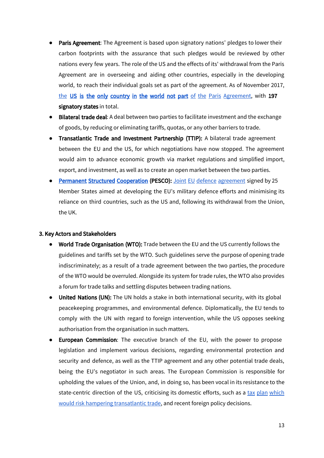- Paris Agreement: The Agreement is based upon signatory nations' pledges to lower their carbon footprints with the assurance that such pledges would be reviewed by other nations every few years. The role of the US and the effects of its' withdrawal from the Paris Agreement are in overseeing and aiding other countries, especially in the developing world, to reach their individual goals set as part of the agreement. As of November 2017, [the](https://www.theguardian.com/environment/2017/nov/07/syria-signs-paris-climate-agreement-and-leaves-us-isolated) US is the only [country](https://www.theguardian.com/environment/2017/nov/07/syria-signs-paris-climate-agreement-and-leaves-us-isolated) in the world not part of the Paris [Agreement,](https://www.theguardian.com/environment/2017/nov/07/syria-signs-paris-climate-agreement-and-leaves-us-isolated) with 197 signatory states in total.
- **Bilateral trade deal:** A deal between two parties to facilitate investment and the exchange of goods, by reducing or eliminating tariffs, quotas, or any other barriers to trade.
- Transatlantic Trade and Investment Partnership (TTIP): A bilateral trade agreement between the EU and the US, for which negotiations have now stopped. The agreement would aim to advance economic growth via market regulations and simplified import, export, and investment, as well as to create an open market between the two parties.
- [Permanent Structured Cooperation](http://www.consilium.europa.eu/en/press/press-releases/2017/12/11/defence-cooperation-pesco-25-member-states-participating/) (PESCO): Joint EU defence [agreement](http://www.businessinsider.com/eu-launches-a-defence-pact-that-has-been-50-years-in-the-making-2017-12) signed by 25 Member States aimed at developing the EU's military defence efforts and minimising its reliance on third countries, such as the US and, following its withdrawal from the Union, the UK.

#### 3. Key Actors and Stakeholders

- **●** World Trade Organisation (WTO): Trade between the EU and the US currently follows the guidelines and tariffs set by the WTO. Such guidelines serve the purpose of opening trade indiscriminately; as a result of a trade agreement between the two parties, the procedure of the WTO would be overruled. Alongside its system for trade rules, the WTO also provides a forum for trade talks and settling disputes between trading nations.
- United Nations (UN): The UN holds a stake in both international security, with its global peacekeeping programmes, and environmental defence. Diplomatically, the EU tends to comply with the UN with regard to foreign intervention, while the US opposes seeking authorisation from the organisation in such matters.
- European Commission: The executive branch of the EU, with the power to propose legislation and implement various decisions, regarding environmental protection and security and defence, as well as the TTIP agreement and any other potential trade deals, being the EU's negotiator in such areas. The European Commission is responsible for upholding the values of the Union, and, in doing so, has been vocal in its resistance to the state-centric direction of the US, criticising its [domestic](http://abcnews.go.com/International/wireStory/eu-complains-us-tax-plans-endanger-eu-us-51855911) efforts, such as a tax plan [which](http://abcnews.go.com/International/wireStory/eu-complains-us-tax-plans-endanger-eu-us-51855911) would risk hampering [transatlantic](http://abcnews.go.com/International/wireStory/eu-complains-us-tax-plans-endanger-eu-us-51855911) trade, and recent foreign policy decisions.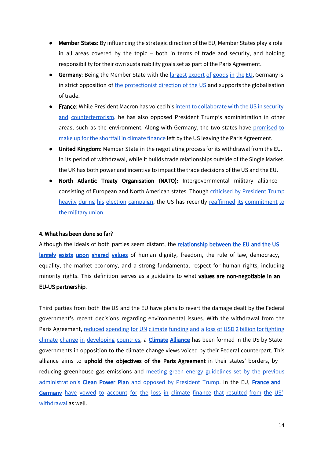- Member States: By influencing the strategic direction of the EU, Member States play a role in all areas covered by the topic – both in terms of trade and security, and holding responsibility for their own sustainability goals set as part of the Paris Agreement.
- Germany: Being the Member State with the [largest](http://ec.europa.eu/eurostat/statistics-explained/index.php/File:Exports_of_goods_to_other_Member_States,_2015-F2.png) export of goods in the EU, Germany is in strict opposition of the [protectionist](https://www.theguardian.com/us-news/2017/mar/17/trump-merkel-white-house-trade-refugees-wiretapping) direction of the US and supports the globalisation of trade.
- France: While President Macron has voiced his intent to [collaborate](https://www.cbsnews.com/news/emmanuel-macron-french-election-matters-to-us-donald-trump/) with the US in security and [counterterrorism,](https://www.cbsnews.com/news/emmanuel-macron-french-election-matters-to-us-donald-trump/) he has also opposed President Trump's administration in other areas, such as the environment. Along with Germany, the two states have [promised](http://www.independent.co.uk/news/world/europe/trump-climate-change-funding-france-uk-vow-make-up-money-paris-agreement-a8057546.html) to make up for the [shortfall](http://www.independent.co.uk/news/world/europe/trump-climate-change-funding-france-uk-vow-make-up-money-paris-agreement-a8057546.html) in climate finance left by the US leaving the Paris Agreement.
- United Kingdom: Member State in the negotiating process for its withdrawal from the EU. In its period of withdrawal, while it builds trade relationships outside of the Single Market, the UK has both power and incentive to impact the trade decisions of the US and the EU.
- North Atlantic Treaty Organisation (NATO): Intergovernmental military alliance consisting of European and North American states. Though criticised by [President](http://www.newsweek.com/european-union-tries-look-past-trumps-remarks-543329) Trump heavily during his election [campaign,](http://www.newsweek.com/european-union-tries-look-past-trumps-remarks-543329) the US has recently reaffirmed its [commitment](http://www.dw.com/en/tillerson-reaffirms-us-committment-to-transatlantic-ties/a-41664167) to the [military](http://www.dw.com/en/tillerson-reaffirms-us-committment-to-transatlantic-ties/a-41664167) union.

#### 4. What has been done so far?

Although the ideals of both parties seem distant, the relationship between the EU and the US largely exists upon [shared](http://www.europarl.europa.eu/unitedstates/en/eu-us-relations/shared-values) values of human dignity, freedom, the rule of law, democracy, equality, the market economy, and a strong fundamental respect for human rights, including minority rights. This definition serves as a guideline to what values are non-negotiable in an EU-US partnership.

Third parties from both the US and the EU have plans to revert the damage dealt by the Federal government's recent decisions regarding environmental issues. With the withdrawal from the Paris Agreement, reduced [spending](http://www.climatechangenews.com/2017/03/16/trump-budget-us-stop-funding-un-climate-process/) for UN climate funding and a loss of USD 2 billion for fighting climate change in [developing](http://www.climatechangenews.com/2017/03/16/trump-budget-us-stop-funding-un-climate-process/) countries, a **[Climate Alliance](https://www.usclimatealliance.org/)** has been formed in the US by State governments in opposition to the climate change views voiced by their Federal counterpart. This alliance aims to uphold the objectives of the Paris Agreement in their states' borders, by reducing greenhouse gas emissions and meeting green energy [guidelines](https://www.epa.gov/energy-independence) set by the previous [administration's](https://www.epa.gov/energy-independence) Clean [Power](https://www.epa.gov/energy-independence) Plan and opposed by [President](https://www.epa.gov/energy-independence) Trump. In the EU, [France](http://www.independent.co.uk/news/world/europe/trump-climate-change-funding-france-uk-vow-make-up-money-paris-agreement-a8057546.html) and [Germany](http://www.independent.co.uk/news/world/europe/trump-climate-change-funding-france-uk-vow-make-up-money-paris-agreement-a8057546.html) have vowed to account for the loss in climate finance that [resulted](http://www.independent.co.uk/news/world/europe/trump-climate-change-funding-france-uk-vow-make-up-money-paris-agreement-a8057546.html) from the US' [withdrawal](http://www.independent.co.uk/news/world/europe/trump-climate-change-funding-france-uk-vow-make-up-money-paris-agreement-a8057546.html) as well.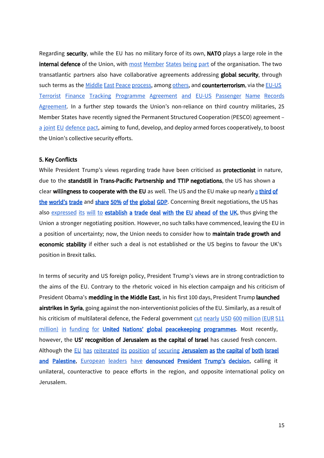Regarding security, while the EU has no military force of its own, NATO plays a large role in the internal defence of the Union, with most [Member](https://www.britannica.com/topic/North-Atlantic-Treaty-Organization) States being part of the organisation. The two transatlantic partners also have collaborative agreements addressing global security, through such terms as the Middle East Peace [process](https://eeas.europa.eu/headquarters/headquarters-homepage/337/middle-east-peace-process_en), among [others](http://www.europarl.europa.eu/RegData/etudes/BRIE/2016/589784/EPRS_BRI(2016)589784_EN.pdf), and counterterrorism, via the [EU-US](http://europa.eu/rapid/press-release_IP-17-99_en.htm) Terrorist Finance Tracking [Programme](http://europa.eu/rapid/press-release_IP-17-99_en.htm) Agreement and EU-US Passenger Name Records [Agreement](http://europa.eu/rapid/press-release_IP-17-99_en.htm). In a further step towards the Union's non-reliance on third country militaries, 25 Member States have recently signed the Permanent Structured Cooperation (PESCO) agreement – a joint EU [defence](http://www.cbc.ca/news/world/european-union-defence-pact-1.4448347) pact, aiming to fund, develop, and deploy armed forces cooperatively, to boost the Union's collective security efforts.

#### 5. Key Conflicts

While President Trump's views regarding trade have been criticised as protectionist in nature, due to the standstill in Trans-Pacific Partnership and TTIP negotiations, the US has shown a cle[a](http://ec.europa.eu/eurostat/statistics-explained/index.php/USA-EU_-_international_trade_and_investment_statistics#EU.E2.80.93US_position_in_world_trade)r willingness to cooperate with the EU as well. The US and the EU make up nearly a third of [the world's trade](http://ec.europa.eu/eurostat/statistics-explained/index.php/USA-EU_-_international_trade_and_investment_statistics#EU.E2.80.93US_position_in_world_trade) and [share 50% of the global GDP](http://foreignpolicy.com/2017/02/24/infographic-heres-how-the-global-gdp-is-divvied-up/). Concerning Brexit negotiations, the US has also [expressed](http://www.telegraph.co.uk/news/2017/04/22/donald-trump-ready-do-trade-deal-eu-ahead-uk/) its will to establish [a trade deal with the](http://www.telegraph.co.uk/news/2017/04/22/donald-trump-ready-do-trade-deal-eu-ahead-uk/) EU ahead of the UK, thus giving the Union a stronger negotiating position. However, no such talks have commenced, leaving the EU in a position of uncertainty; now, the Union needs to consider how to maintain trade growth and economic stability if either such a deal is not established or the US begins to favour the UK's position in Brexit talks.

In terms of security and US foreign policy, President Trump's views are in strong contradiction to the aims of the EU. Contrary to the rhetoric voiced in his election campaign and his criticism of President Obama's meddling in the Middle East, in his first 100 days, President Trump launched airstrikes in Syria, going against the non-interventionist policies of the EU. Similarly, as a result of his criticism of multilateral defence, the Federal government cut nearly USD 600 [million](http://www.businessinsider.com/united-nations-guts-more-than-600-million-in-peacekeeping-programs-2017-6) (EUR 511 million) in [funding](http://www.businessinsider.com/united-nations-guts-more-than-600-million-in-peacekeeping-programs-2017-6) for United Nations' global [peacekeeping](http://www.businessinsider.com/united-nations-guts-more-than-600-million-in-peacekeeping-programs-2017-6) programmes. Most recently, however, the US' recognition of Jerusalem as the capital of Israel has caused fresh concern. Although the [E](http://abcnews.go.com/International/wireStory/eu-distances-trump-comment-jerusalem-51798724)U has [reiterated](http://abcnews.go.com/International/wireStory/eu-distances-trump-comment-jerusalem-51798724) its position of securing Jerusalem as the capital of both Israel and [Palestine](http://abcnews.go.com/International/wireStory/eu-distances-trump-comment-jerusalem-51798724), [European](https://www.reuters.com/article/us-usa-trump-israel-jerusalem-reaction/arabs-europe-u-n-reject-trumps-recognition-of-jerusalem-as-israeli-capital-idUSKBN1E0312) leaders have [denounced](https://www.reuters.com/article/us-usa-trump-israel-jerusalem-reaction/arabs-europe-u-n-reject-trumps-recognition-of-jerusalem-as-israeli-capital-idUSKBN1E0312) President Trump's decision, calling it unilateral, counteractive to peace efforts in the region, and opposite international policy on Jerusalem.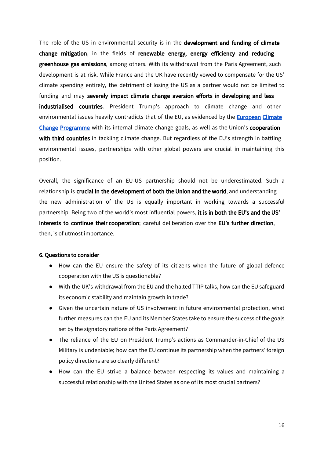The role of the US in environmental security is in the development and funding of climate change mitigation, in the fields of renewable energy, energy efficiency and reducing greenhouse gas emissions, among others. With its withdrawal from the Paris Agreement, such development is at risk. While France and the UK have recently vowed to compensate for the US' climate spending entirely, the detriment of losing the US as a partner would not be limited to funding and may severely impact climate change aversion efforts in developing and less industrialised countries. President Trump's approach to climate change and other environmental issues heavily contradicts that of the EU, as evidenced by the **European Climate** [Change Programme](https://ec.europa.eu/clima/policies/eccp_en) with its internal climate change goals, as well as the Union's cooperation with third countries in tackling climate change. But regardless of the EU's strength in battling environmental issues, partnerships with other global powers are crucial in maintaining this position.

Overall, the significance of an EU-US partnership should not be underestimated. Such a relationship is crucial in the development of both the Union and the world, and understanding the new administration of the US is equally important in working towards a successful partnership. Being two of the world's most influential powers, it is in both the EU's and the US' interests to continue their cooperation; careful deliberation over the EU's further direction, then, is of utmost importance.

#### 6. Questions to consider

- How can the EU ensure the safety of its citizens when the future of global defence cooperation with the US is questionable?
- With the UK's withdrawal from the EU and the halted TTIP talks, how can the EU safeguard its economic stability and maintain growth in trade?
- Given the uncertain nature of US involvement in future environmental protection, what further measures can the EU and its Member States take to ensure the success of the goals set by the signatory nations of the Paris Agreement?
- The reliance of the EU on President Trump's actions as Commander-in-Chief of the US Military is undeniable; how can the EU continue its partnership when the partners' foreign policy directions are so clearly different?
- How can the EU strike a balance between respecting its values and maintaining a successful relationship with the United States as one of its most crucial partners?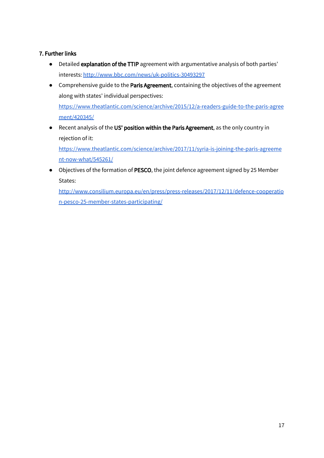#### 7. Further links

- Detailed explanation of the TTIP agreement with argumentative analysis of both parties' interests: <http://www.bbc.com/news/uk-politics-30493297>
- Comprehensive guide to the Paris Agreement, containing the objectives of the agreement along with states' individual perspectives: [https://www.theatlantic.com/science/archive/2015/12/a-readers-guide-to-the-paris-agree](https://www.theatlantic.com/science/archive/2015/12/a-readers-guide-to-the-paris-agreement/420345/) [ment/420345/](https://www.theatlantic.com/science/archive/2015/12/a-readers-guide-to-the-paris-agreement/420345/)
- Recent analysis of the US' position within the Paris Agreement, as the only country in rejection of it:

[https://www.theatlantic.com/science/archive/2017/11/syria-is-joining-the-paris-agreeme](https://www.theatlantic.com/science/archive/2017/11/syria-is-joining-the-paris-agreement-now-what/545261/) [nt-now-what/545261/](https://www.theatlantic.com/science/archive/2017/11/syria-is-joining-the-paris-agreement-now-what/545261/)

● Objectives of the formation of PESCO, the joint defence agreement signed by 25 Member States:

[http://www.consilium.europa.eu/en/press/press-releases/2017/12/11/defence-cooperatio](http://www.consilium.europa.eu/en/press/press-releases/2017/12/11/defence-cooperation-pesco-25-member-states-participating/) [n-pesco-25-member-states-participating/](http://www.consilium.europa.eu/en/press/press-releases/2017/12/11/defence-cooperation-pesco-25-member-states-participating/)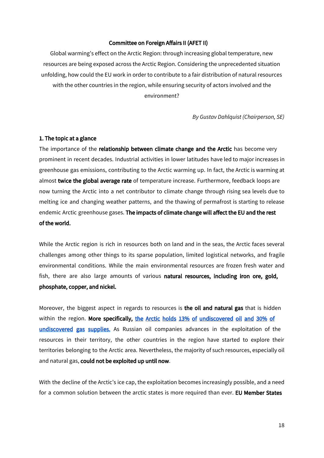#### Committee on Foreign Affairs II (AFET II)

Global warming's effect on the Arctic Region: through increasing global temperature, new resources are being exposed across the Arctic Region. Considering the unprecedented situation unfolding, how could the EU work in order to contribute to a fair distribution of natural resources with the other countries in the region, while ensuring security of actors involved and the environment?

*By Gustav Dahlquist (Chairperson, SE)*

#### 1. The topic at a glance

The importance of the **relationship between climate change and the Arctic** has become very prominent in recent decades. Industrial activities in lower latitudes have led to major increases in greenhouse gas emissions, contributing to the Arctic warming up. In fact, the Arctic is warming at almost twice the global average rate of temperature increase. Furthermore, feedback loops are now turning the Arctic into a net contributor to climate change through rising sea levels due to melting ice and changing weather patterns, and the thawing of permafrost is starting to release endemic Arctic greenhouse gases. The impacts of climate change will affect the EU and the rest of the world.

While the Arctic region is rich in resources both on land and in the seas, the Arctic faces several challenges among other things to its sparse population, limited logistical networks, and fragile environmental conditions. While the main environmental resources are frozen fresh water and fish, there are also large amounts of various **natural resources, including iron ore, gold,** phosphate, copper, and nickel.

Moreover, the biggest aspect in regards to resources is the oil and natural gas that is hidden within the region. More specifically, the Arctic holds 13% of [undiscovered](http://www.nytimes.com/2008/07/24/business/worldbusiness/24iht-arctic.4.14767779.html) oil and 30% of [undiscovered](http://www.nytimes.com/2008/07/24/business/worldbusiness/24iht-arctic.4.14767779.html) gas supplies. As Russian oil companies advances in the exploitation of the resources in their territory, the other countries in the region have started to explore their territories belonging to the Arctic area. Nevertheless, the majority of such resources, especially oil and natural gas, could not be exploited up until now.

With the decline of the Arctic's ice cap, the exploitation becomes increasingly possible, and a need for a common solution between the arctic states is more required than ever. EU Member States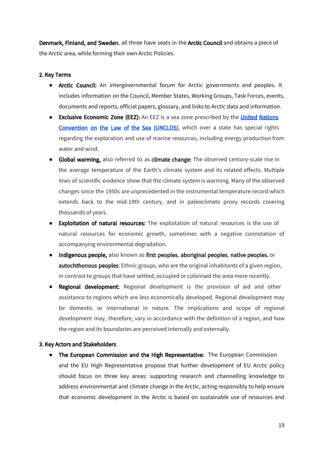Denmark, Finland, and Sweden, all three have seats in the Arctic Council and obtains a piece of the Arctic area, while forming their own Arctic Policies.

#### 2. Key Terms

- Arctic Council: An intergovernmental forum for Arctic governments and peoples. It includes information on the Council, Member States, Working Groups, Task Forces, events, documents and reports, official papers, glossary, and links to Arctic data and information.
- **Exclusive Economic Zone (EEZ):** An EEZ is a sea zone prescribed by the **United Nations** [Convention](http://www.un.org/depts/los/convention_agreements/texts/unclos/unclos_e.pdf) on the Law of the Sea (UNCLOS), which over a state has special rights regarding the exploration and use of marine resources, including energy production from water and wind.
- Global warming, also referred to as climate change: The observed century-scale rise in the average temperature of the Earth's climate system and its related effects. Multiple lines of scientific evidence show that the climate system is warming. Many of the observed changes since the 1950s are unprecedented in the instrumental temperature record which extends back to the mid-19th century, and in paleoclimate proxy records covering thousands of years.
- Exploitation of natural resources: The exploitation of natural resources is the use of natural resources for economic growth, sometimes with a negative connotation of accompanying environmental degradation.
- Indigenous people, also known as first peoples, aboriginal peoples, native peoples, or autochthonous peoples: Ethnic groups, who are the original inhabitants of a given region, in contrast to groups that have settled, occupied or colonised the area more recently.
- **Regional development:** Regional development is the provision of aid and other assistance to regions which are less economically developed. Regional development may be domestic or international in nature. The implications and scope of regional development may, therefore, vary in accordance with the definition of a region, and how the region and its boundaries are perceived internally and externally.

#### 3. Key Actors and Stakeholders

• The European Commission and the High Representative: The European Commission and the EU High Representative propose that further development of EU Arctic policy should focus on three key areas: supporting research and channelling knowledge to address environmental and climate change in the Arctic, acting responsibly to help ensure that economic development in the Arctic is based on sustainable use of resources and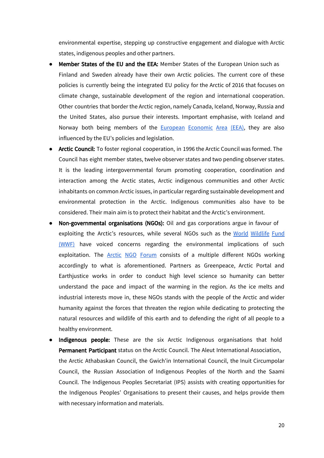environmental expertise, stepping up constructive engagement and dialogue with Arctic states, indigenous peoples and other partners.

- Member States of the EU and the EEA: Member States of the European Union such as Finland and Sweden already have their own Arctic policies. The current core of these policies is currently being the integrated EU policy for the Arctic of 2016 that focuses on climate change, sustainable development of the region and international cooperation. Other countries that border the Arctic region, namely Canada, Iceland, Norway, Russia and the United States, also pursue their interests. Important emphasise, with Iceland and Norway both being members of the **European [Economic](https://eeas.europa.eu/headquarters/headquarters-homepage_en/348/European%20Economic%20Area%20(EEA)) Area (EEA)**, they are also influenced by the EU's policies and legislation.
- Arctic Council: To foster regional cooperation, in 1996 the Arctic Council was formed. The Council has eight member states, twelve observer states and two pending observer states. It is the leading intergovernmental forum promoting cooperation, coordination and interaction among the Arctic states, Arctic indigenous communities and other Arctic inhabitants on common Arctic issues, in particular regarding sustainable development and environmental protection in the Arctic. Indigenous communities also have to be considered. Their main aim is to protect their habitat and the Arctic's environment.
- Non-governmental organisations (NGOs): Oil and gas corporations argue in favour of exploiting the Arctic's resources, while several NGOs such as the World [Wildlife](https://www.worldwildlife.org/) Fund [\(WWF\)](https://www.worldwildlife.org/) have voiced concerns regarding the environmental implications of such exploitation. The **Arctic NGO [Forum](http://www.arcticngoforum.org/partners.aspx)** consists of a multiple different NGOs working accordingly to what is aforementioned. Partners as Greenpeace, Arctic Portal and Earthjustice works in order to conduct high level science so humanity can better understand the pace and impact of the warming in the region. As the ice melts and industrial interests move in, these NGOs stands with the people of the Arctic and wider humanity against the forces that threaten the region while dedicating to protecting the natural resources and wildlife of this earth and to defending the right of all people to a healthy environment.
- Indigenous people: These are the six Arctic Indigenous organisations that hold Permanent Participant status on the Arctic Council. The Aleut International Association, the Arctic Athabaskan Council, the Gwich'in International Council, the Inuit Circumpolar Council, the Russian Association of Indigenous Peoples of the North and the Saami Council. The Indigenous Peoples Secretariat (IPS) assists with creating opportunities for the Indigenous Peoples' Organisations to present their causes, and helps provide them with necessary information and materials.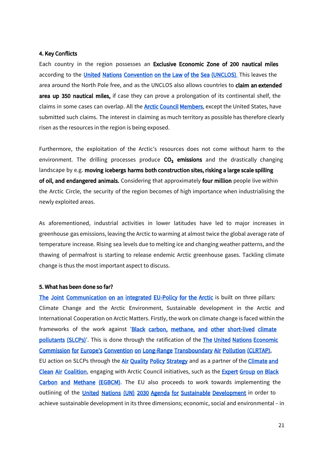#### 4. Key Conflicts

Each country in the region possesses an Exclusive Economic Zone of 200 nautical miles according to the *[United Nations Convention on the Law of the Sea \(UNCLOS\)](http://www.un.org/depts/los/convention_agreements/texts/unclos/unclos_e.pdf)*[.](http://www.un.org/depts/los/convention_agreements/texts/unclos/unclos_e.pdf) This leaves the area around the North Pole free, and as the UNCLOS also allows countries to claim an extended area up 350 nautical miles, if case they can prove a prolongation of its continental shelf, the claims in some cases can overlap. All the **[Arctic Council Members](http://www.arctic-council.org/index.php/en/about-us/member-states)**, except the United States, have submitted such claims. The interest in claiming as much territory as possible has therefore clearly risen as the resources in the region is being exposed.

Furthermore, the exploitation of the Arctic's resources does not come without harm to the environment. The drilling processes produce  $CO<sub>2</sub>$  emissions and the drastically changing landscape by e.g. moving icebergs harms both construction sites, risking a large scale spilling of oil, and endangered animals. Considering that approximately four million people live within the Arctic Circle, the security of the region becomes of high importance when industrialising the newly exploited areas.

As aforementioned, industrial activities in lower latitudes have led to major increases in greenhouse gas emissions, leaving the Arctic to warming at almost twice the global average rate of temperature increase. Rising sea levels due to melting ice and changing weather patterns, and the thawing of permafrost is starting to release endemic Arctic greenhouse gases. Tackling climate change is thus the most important aspect to discuss.

#### 5. What has been done so far?

The Joint Communication on an integrated [EU-Policy for the Arctic](http://www.eeas.europa.eu/archives/docs/arctic_region/docs/160427_joint-communication-an-integrated-european-union-policy-for-the-arctic_en.pdf) is built on three pillars: Climate Change and the Arctic Environment, Sustainable development in the Arctic and International Cooperation on Arctic Matters. Firstly, the work on climate change is faced within the frameworks of the work against 'Black carbon, methane, and other [short-lived](http://www.ccacoalition.org/en/science-resources) climate [pollutants \(SLCPs\)](http://www.ccacoalition.org/en/science-resources)'. This is done through the ratification of the The United Nations Economic [Commission for Europe's Convention on Long-Range Transboundary Air Pollution \(CLRTAP\)](http://www.unece.org/env/lrtap/welcome.html), EU action on SLCPs through the [Air Quality Policy Strategy](http://ec.europa.eu/clima/policies/international/paris_protocol/pollutants_en) and as a partner of the Climate and [Clean Air Coalition](http://www.ccacoalition.org/en), engaging with Arctic Council initiatives, such as the **Expert Group on Black** Carbon and [Methane](http://www.arctic-council.org/index.php/en/expert-groups/339-egbcm) (EGBCM). The EU also proceeds to work towards implementing the outlining of the *United Nations (UN) 2030 Agenda for [Sustainable Development](https://sustainabledevelopment.un.org/content/documents/21252030)* in order to achieve sustainable development in its three dimensions; economic, social and environmental – in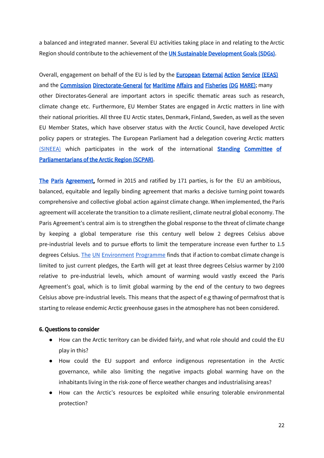a balanced and integrated manner. Several EU activities taking place in and relating to the Arctic Region should contribute to the achievement of the **UN Sustainable [Development](https://sustainabledevelopment.un.org/sdgs) Goals (SDGs)**.

Overall, engagement on behalf of the EU is led by the **[European External Action Service \(EEAS\)](https://eeas.europa.eu/headquarters/headquarters-homepage_en)** and the [Commission Directorate-General for Maritime Affairs and Fisheries \(DG MARE\)](https://ec.europa.eu/maritimeaffairs/home_en); many other Directorates-General are important actors in specific thematic areas such as research, climate change etc. Furthermore, EU Member States are engaged in Arctic matters in line with their national priorities. All three EU Arctic states, Denmark, Finland, Sweden, as well as the seven EU Member States, which have observer status with the Arctic Council, have developed Arctic policy papers or strategies. The European Parliament had a delegation covering Arctic matters [\(SINEEA\)](http://www.europarl.europa.eu/delegations/calendar/deea/calendar_2010.pdf) which participates in the work of the international **Standing [Committee](http://www.arcticparl.org/committee.aspx) of** [Parliamentarians](http://www.arcticparl.org/committee.aspx) of the Arctic Region (SCPAR).

The Paris [Agreement](http://unfccc.int/paris_agreement/items/9485.php), formed in 2015 and ratified by 171 parties, is for the EU an ambitious, balanced, equitable and legally binding agreement that marks a decisive turning point towards comprehensive and collective global action against climate change. When implemented, the Paris agreement will accelerate the transition to a climate resilient, climate neutral global economy. The Paris Agreement's central aim is to strengthen the global response to the threat of climate change by keeping a global temperature rise this century well below 2 degrees Celsius above pre-industrial levels and to pursue efforts to limit the temperature increase even further to 1.5 degrees Celsius. The UN [Environment](https://www.unenvironment.org/) Programme finds that if action to combat climate change is limited to just current pledges, the Earth will get at least three degrees Celsius warmer by 2100 relative to pre-industrial levels, which amount of warming would vastly exceed the Paris Agreement's goal, which is to limit global warming by the end of the century to two degrees Celsius above pre-industrial levels. This means that the aspect of e.g thawing of permafrost that is starting to release endemic Arctic greenhouse gases in the atmosphere has not been considered.

#### 6. Questions to consider

- How can the Arctic territory can be divided fairly, and what role should and could the EU play in this?
- How could the EU support and enforce indigenous representation in the Arctic governance, while also limiting the negative impacts global warming have on the inhabitants living in the risk-zone of fierce weather changes and industrialising areas?
- How can the Arctic's resources be exploited while ensuring tolerable environmental protection?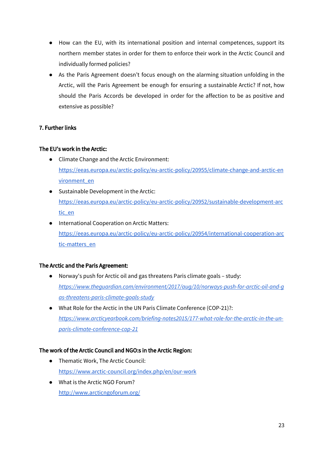- How can the EU, with its international position and internal competences, support its northern member states in order for them to enforce their work in the Arctic Council and individually formed policies?
- As the Paris Agreement doesn't focus enough on the alarming situation unfolding in the Arctic, will the Paris Agreement be enough for ensuring a sustainable Arctic? If not, how should the Paris Accords be developed in order for the affection to be as positive and extensive as possible?

#### 7. Further links

#### The EU's work in the Arctic:

- Climate Change and the Arctic Environment: [https://eeas.europa.eu/arctic-policy/eu-arctic-policy/20955/climate-change-and-arctic-en](https://eeas.europa.eu/arctic-policy/eu-arctic-policy/20955/climate-change-and-arctic-environment_en) [vironment\\_en](https://eeas.europa.eu/arctic-policy/eu-arctic-policy/20955/climate-change-and-arctic-environment_en)
- Sustainable Development in the Arctic: [https://eeas.europa.eu/arctic-policy/eu-arctic-policy/20952/sustainable-development-arc](https://eeas.europa.eu/arctic-policy/eu-arctic-policy/20952/sustainable-development-arctic_en) [tic\\_en](https://eeas.europa.eu/arctic-policy/eu-arctic-policy/20952/sustainable-development-arctic_en)
- International Cooperation on Arctic Matters: [https://eeas.europa.eu/arctic-policy/eu-arctic-policy/20954/international-cooperation-arc](https://eeas.europa.eu/arctic-policy/eu-arctic-policy/20954/international-cooperation-arctic-matters_en) [tic-matters\\_en](https://eeas.europa.eu/arctic-policy/eu-arctic-policy/20954/international-cooperation-arctic-matters_en)

#### The Arctic and the Paris Agreement:

- **●** Norway's push for Arctic oil and gas threatens Paris climate goals study: *[https://www.theguardian.com/environment/2017/aug/10/norways-push-for-arctic-oil-and-g](https://www.theguardian.com/environment/2017/aug/10/norways-push-for-arctic-oil-and-gas-threatens-paris-climate-goals-study) [as-threatens-paris-climate-goals-study](https://www.theguardian.com/environment/2017/aug/10/norways-push-for-arctic-oil-and-gas-threatens-paris-climate-goals-study)*
- What Role for the Arctic in the UN Paris Climate Conference (COP-21)?: *[https://www.arcticyearbook.com/briefing-notes2015/177-what-role-for-the-arctic-in-the-un](https://www.arcticyearbook.com/briefing-notes2015/177-what-role-for-the-arctic-in-the-un-paris-climate-conference-cop-21)[paris-climate-conference-cop-21](https://www.arcticyearbook.com/briefing-notes2015/177-what-role-for-the-arctic-in-the-un-paris-climate-conference-cop-21)*

#### The work of the Arctic Council and NGO:s in the Arctic Region:

- Thematic Work, The Arctic Council: <https://www.arctic-council.org/index.php/en/our-work>
- What is the Arctic NGO Forum? <http://www.arcticngoforum.org/>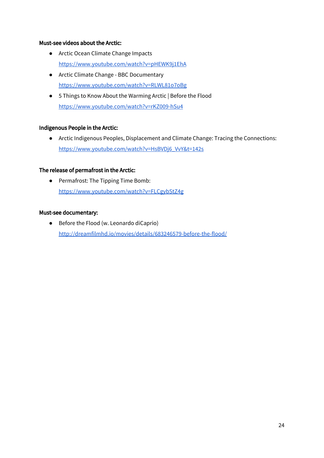#### Must-see videos about the Arctic:

- Arctic Ocean Climate Change Impacts <https://www.youtube.com/watch?v=pHEWK9j1EhA>
- Arctic Climate Change BBC Documentary <https://www.youtube.com/watch?v=RLWL81o7oBg>
- 5 Things to Know About the Warming Arctic | Before the Flood <https://www.youtube.com/watch?v=rKZ009-hSu4>

#### Indigenous People in the Arctic:

● Arctic Indigenous Peoples, Displacement and Climate Change: Tracing the Connections: [https://www.youtube.com/watch?v=HsBVDj6\\_VvY&t=142s](https://www.youtube.com/watch?v=HsBVDj6_VvY&t=142s)

#### The release of permafrost in the Arctic:

**●** Permafrost: The Tipping Time Bomb: <https://www.youtube.com/watch?v=FLCgybStZ4g>

#### Must-see documentary:

● Before the Flood (w. Leonardo diCaprio) <http://dreamfilmhd.io/movies/details/683246579-before-the-flood/>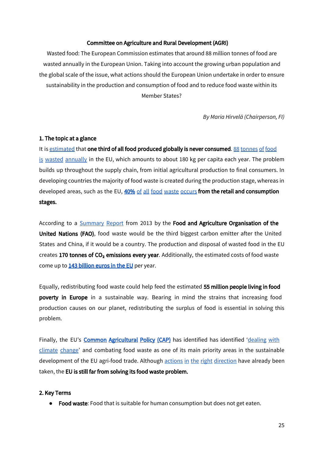#### Committee on Agriculture and Rural Development (AGRI)

Wasted food: The European Commission estimates that around 88 million tonnes of food are wasted annually in the European Union. Taking into account the growing urban population and the global scale of the issue, what actions should the European Union undertake in order to ensure sustainability in the production and consumption of food and to reduce food waste within its Member States?

*By Maria Hirvelä (Chairperson, FI)*

#### 1. The topic at a glance

It is [estimated](https://www.theguardian.com/environment/ng-interactive/2015/aug/12/produced-but-never-eaten-a-visual-guide-to-food-waste) that one third of all food produced globally is never consumed. 88 [tonnes](https://webcache.googleusercontent.com/search?q=cache:jvuORGrHO_YJ:https://eeb.org/publications/83/waste-and-recycling/1654/from-farm-to-fork-reducing-food-waste.pdf+&cd=2&hl=en&ct=clnk&gl=be) of food is wasted [annually](https://webcache.googleusercontent.com/search?q=cache:jvuORGrHO_YJ:https://eeb.org/publications/83/waste-and-recycling/1654/from-farm-to-fork-reducing-food-waste.pdf+&cd=2&hl=en&ct=clnk&gl=be) in the EU, which amounts to about 180 kg per capita each year. The problem builds up throughout the supply chain, from initial agricultural production to final consumers. In developing countries the majority of food waste is created during the production stage, whereas in developed areas, such as the EU, [40%](http://www.europarl.europa.eu/RegData/etudes/BRIE/2016/593563/EPRS_BRI(2016)593563_EN.pdf) of all food waste [occurs](http://www.europarl.europa.eu/RegData/etudes/BRIE/2016/593563/EPRS_BRI(2016)593563_EN.pdf) from the retail and consumption stages.

According to a [Summary](http://www.fao.org/docrep/018/i3347e/i3347e.pdf) Report from 2013 by the Food and Agriculture Organisation of the United Nations (FAO), food waste would be the third biggest carbon emitter after the United States and China, if it would be a country. The production and disposal of wasted food in the EU creates 170 tonnes of  $CO<sub>2</sub>$  emissions every year. Additionally, the estimated costs of food waste come up to 143 [billion](https://ec.europa.eu/food/safety/food_waste_en) euros in the EU per year.

Equally, redistributing food waste could help feed the estimated 55 million people living in food poverty in Europe in a sustainable way. Bearing in mind the strains that increasing food production causes on our planet, redistributing the surplus of food is essential in solving this problem.

Finally, the EU'[s](https://ec.europa.eu/agriculture/cap-overview_en) [Common Agricultural Policy \(CAP\)](https://ec.europa.eu/agriculture/cap-overview_en) has identified has identified ['dealing](https://ec.europa.eu/agriculture/envir_en) with [climate](https://ec.europa.eu/agriculture/envir_en) change' and combating food waste as one of its main priority areas in the sustainable development of the EU agri-food trade. Although actions in the right [direction](https://epthinktank.eu/2017/09/20/ask-ep-what-is-the-eu-doing-to-reduce-food-waste/) have already been taken, the EU is still far from solving its food waste problem.

#### 2. Key Terms

● Food waste: Food that is suitable for human consumption but does not get eaten.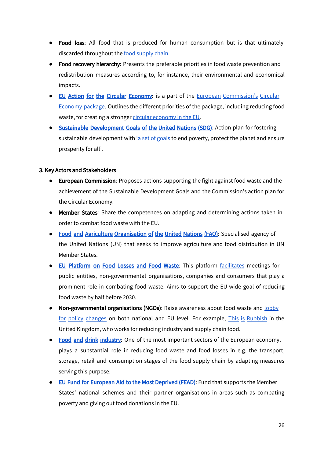- Food loss: All food that is produced for human consumption but is that ultimately discarded throughout the food [supply](https://www.youtube.com/watch?v=byHWgpU8rXQ) chain.
- Food recovery hierarchy: Presents the preferable priorities in food waste prevention and redistribution measures according to, for instance, their environmental and economical impacts.
- EU Action for the Circular [Economy](http://eur-lex.europa.eu/legal-content/EN/TXT/?qid=1453384154337&uri=CELEX:52015DC0614): is a part of the European [Commission's](http://c.europa.eu/environment/circular-economy/index_en.htm) Circular [Economy](http://c.europa.eu/environment/circular-economy/index_en.htm) package. Outlines the different priorities of the package, including reducing food waste, for creating a stronger circular [economy](https://www.youtube.com/watch?time_continue=64&v=lK00v_tzkCI) in the EU.
- [Sustainable Development Goals of the United Nations \(SDG\)](http://www.un.org/sustainabledevelopment/): Action plan for fostering sustainable development with 'a set of [goals](http://www.un.org/sustainabledevelopment/sustainable-development-goals/#) to end poverty, protect the planet and ensure prosperity for all'.

#### 3. Key Actors and Stakeholders

- European Commission: Proposes actions supporting the fight against food waste and the achievement of the Sustainable Development Goals and the Commission's action plan for the Circular Economy.
- Member States: Share the competences on adapting and determining actions taken in order to combat food waste with the EU.
- Food [and Agriculture Organisation of the United Nations \(FAO\)](http://www.fao.org/home/en/): Specialised agency of the United Nations (UN) that seeks to improve agriculture and food distribution in UN Member States.
- EU [Platform](https://ec.europa.eu/food/safety/food_waste/eu_actions/eu-platform_en) on Food Losses and Food Waste: This platform [facilitates](https://ec.europa.eu/food/sites/food/files/safety/docs/fw_eu-actions_flw-platform_tor.pdf) meetings for public entities, non-governmental organisations, companies and consumers that play a prominent role in combating food waste. Aims to support the EU-wide goal of reducing food waste by half before 2030.
- Non-governmental organisations (NGOs): Raise awareness about food waste and [lobby](https://www.theguardian.com/environment/2017/jan/18/eu-proposals-halve-food-waste-europe-2030-uk-supermarkets-tesco-sainsburys) for policy [changes](https://www.theguardian.com/environment/2017/jan/18/eu-proposals-halve-food-waste-europe-2030-uk-supermarkets-tesco-sainsburys) on both national and EU level. For example, *This is [Rubbish](https://www.thisisrubbish.org.uk/)* in the United Kingdom, who works for reducing industry and supply chain food.
- Food [and drink](https://ec.europa.eu/growth/sectors/food_en) industry: One of the most important sectors of the European economy, plays a substantial role in reducing food waste and food losses in e.g. the transport, storage, retail and consumption stages of the food supply chain by adapting measures serving this purpose.
- **[EU Fund for European Aid to the Most Deprived \(FEAD\)](http://ec.europa.eu/social/main.jsp?catId=1089):** Fund that supports the Member States' national schemes and their partner organisations in areas such as combating poverty and giving out food donations in the EU.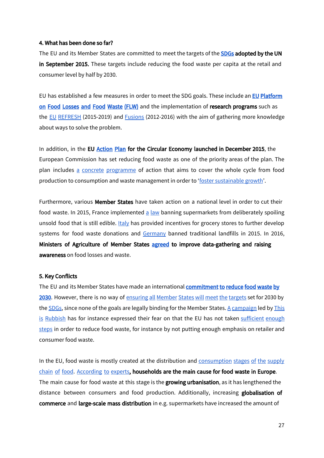#### 4. What has been done so far?

The EU and its Member States are committed to meet the targets of the [SDGs](https://sustainabledevelopment.un.org/topics) adopted by the UN in September 2015. These targets include reducing the food waste per capita at the retail and consumer level by half by 2030.

EU has established a few measures in order to meet the SDG goals. These include an **EU Platform** on Food Losses and [Food Waste \(FLW\)](https://ec.europa.eu/food/safety/food_waste/eu_actions/eu-platform_en) and the implementation of research programs such as the EU [REFRESH](http://eu-refresh.org/) (2015-2019) and **[Fusions](https://www.eu-fusions.org/)** (2012-2016) with the aim of gathering more knowledge about ways to solve the problem.

In addition, in the E[U Action Plan](http://eur-lex.europa.eu/legal-content/EN/TXT/?qid=1452152692467&uri=CELEX:52015DC0614) for the Circular Economy launched in December 2015, the European Commission has set reducing food waste as one of the priority areas of the plan. The plan includes a concrete [programme](http://eur-lex.europa.eu/resource.html?uri=cellar:8a8ef5e8-99a0-11e5-b3b7-01aa75ed71a1.0012.03/DOC_3&format=HTML&lang=EN&parentUrn=COM:2015:614:FIN) of action that aims to cover the whole cycle from food production to consumption and waste management in order to 'foster [sustainable](https://ec.europa.eu/food/safety/food_waste/eu_actions_en) growth'.

Furthermore, various Member States have taken action on a national level in order to cut their food waste. In 2015, France implemented a [law](https://www.theguardian.com/world/2015/may/22/france-to-force-big-supermarkets-to-give-away-unsold-food-to-charity) banning supermarkets from deliberately spoiling unsold food that is still edible. [Italy](https://www.nbcnews.com/news/us-news/italy-sets-example-reducing-food-waste-u-s-tosses-161-n622561) has provided incentives for grocery stores to further develop systems for food waste donations and [Germany](http://www.seas.columbia.edu/earth/wtert/sofos/Evridiki_Bersi_Kathimerini.pdf) banned traditional landfills in 2015. In 2016, Ministers of Agriculture of Member States [agreed](http://www2.consilium.europa.eu/en/press/press-releases/2016/06/28/agri-food-losses/) to improve data-gathering and raising awareness on food losses and waste.

#### 5. Key Conflicts

The EU and its Member States have made an international **commitment to reduce food waste by** [2030](https://ec.europa.eu/food/safety/food_waste_en). However, there is no way of [ensuring](https://www.euractiv.com/section/circular-economy/news/member-states-seek-to-water-down-food-waste-proposal/) all Member States will meet the targets set for 2030 by the  $SDGs$ , since none of the goals are legally binding for the Member States. A [campaign](https://friendsoftheearth.uk/sites/default/files/downloads/EU%20food%20waste%20campaign%20-%20Policy%20paper%20on%20Waste%20Directive.pdf) led by [This](https://www.thisisrubbish.org.uk/) is [Rubbish](https://www.thisisrubbish.org.uk/) has for instance expressed their fear on that the EU has not taken [sufficient](https://www.euractiv.com/section/agriculture-food/news/eu-nations-set-to-define-new-era-of-food-waste-policy/) enough [steps](https://www.euractiv.com/section/agriculture-food/news/eu-nations-set-to-define-new-era-of-food-waste-policy/) in order to reduce food waste, for instance by not putting enough emphasis on retailer and consumer food waste.

In the EU, food waste is mostly created at the distribution and [consumption](http://www3.ntu.edu.sg/rsis/nts/HTML-Newsletter/Insight/NTS-Insight-jun-1101.html) stages of the supply [chain](http://www3.ntu.edu.sg/rsis/nts/HTML-Newsletter/Insight/NTS-Insight-jun-1101.html) of food. [According](http://www.europarl.europa.eu/RegData/etudes/etudes/join/2013/513515/IPOL-JOIN_ET(2013)513515_EN.pdf) to experts, households are the main cause for food waste in Europe. The main cause for food waste at this stage is the growing urbanisation, as it has lengthened the distance between consumers and food production. Additionally, increasing globalisation of commerce and large-scale mass distribution in e.g. supermarkets have increased the amount of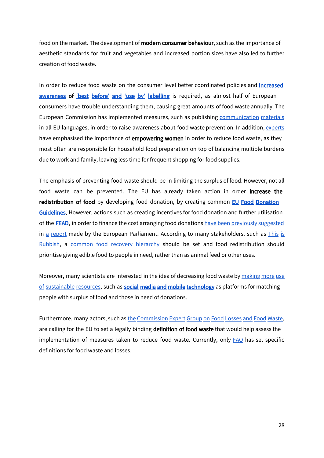food on the market. The development of **modern consumer behaviour**, such as the importance of aesthetic standards for fruit and vegetables and increased portion sizes have also led to further creation of food waste.

In order to reduce food waste on the consumer level better coordinated policies and *increased* [awareness](https://ec.europa.eu/food/sites/food/files/safety/docs/fw_eu_actions_date_marking_infographic_en.pdf) of 'best before' and 'use by' [labelling](https://ec.europa.eu/food/safety/food_waste/eu_actions/date_marking_en) is required, as almost half of European consumers have trouble understanding them, causing great amounts of food waste annually. The European Commission has implemented measures, such as publishing [communication](https://ec.europa.eu/food/safety/food_waste/communications_materials_en) materials in all EU languages, in order to raise awareness about food waste prevention. In addition, [experts](http://www.europarl.europa.eu/RegData/etudes/etudes/join/2013/513515/IPOL-JOIN_ET(2013)513515_EN.pdf) have emphasised the importance of **empowering women** in order to reduce food waste, as they most often are responsible for household food preparation on top of balancing multiple burdens due to work and family, leaving less time for frequent shopping for food supplies.

The emphasis of preventing food waste should be in limiting the surplus of food. However, not all food waste can be prevented. The EU has already taken action in order increase the redistribution of food by developing food donation, by creating common **EU Food Donation** [Guidelines](https://ec.europa.eu/food/safety/food_waste/eu_actions/food-donation_en). However, actions such as creating incentives for food donation and further utilisation of the **[FEAD](http://ec.europa.eu/social/main.jsp?catId=1089)**, in order to finance the cost arranging food donations have been [previously](http://www.europarl.europa.eu/sides/getDoc.do?pubRef=-%2f%2fEP%2f%2fNONSGML%2bCOMPARL%2bPE-595.612%2b01%2bDOC%2bPDF%2bV0%2f%2fEN) suggested in a [report](http://www.europarl.europa.eu/sides/getDoc.do?pubRef=-%2f%2fEP%2f%2fNONSGML%2bCOMPARL%2bPE-595.612%2b01%2bDOC%2bPDF%2bV0%2f%2fEN) made by the European Parliament. According to many stakeholders, such as *[This](https://www.thisisrubbish.org.uk/eucampaign/) is* [Rubbish,](https://www.thisisrubbish.org.uk/eucampaign/) a common food recovery [hierarchy](https://furtherwithfood.org/resources/food-recovery-hierarchy/) should be set and food redistribution should prioritise giving edible food to people in need, rather than as animal feed or other uses.

Moreover, many scientists are interested in the idea of decreasing food waste by [making](https://www.youtube.com/watch?v=6RlxySFrkIM) more use of [sustainable](https://www.youtube.com/watch?v=6RlxySFrkIM) resources, such as **[social media and mobile technology](https://www.youtube.com/watch?v=6RlxySFrkIM)** as platforms for matching people with surplus of food and those in need of donations.

Furthermore, many actors, such as the [Commission](https://ec.europa.eu/food/safety/food_waste/eu_actions/member_states_en) Expert Group on Food Losses and Food Waste, are calling for the EU to set a legally binding definition of food waste that would help assess the implementation of measures taken to reduce food waste. Currently, only **[FAO](http://www.fao.org/platform-food-loss-waste/food-waste/definition/en/)** has set specific definitions for food waste and losses.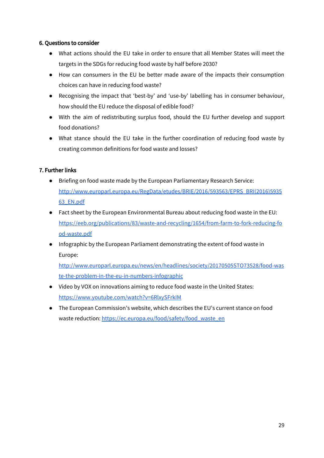#### 6. Questions to consider

- What actions should the EU take in order to ensure that all Member States will meet the targets in the SDGs for reducing food waste by half before 2030?
- How can consumers in the EU be better made aware of the impacts their consumption choices can have in reducing food waste?
- Recognising the impact that 'best-by' and 'use-by' labelling has in consumer behaviour, how should the EU reduce the disposal of edible food?
- With the aim of redistributing surplus food, should the EU further develop and support food donations?
- What stance should the EU take in the further coordination of reducing food waste by creating common definitions for food waste and losses?

#### 7. Further links

- Briefing on food waste made by the European Parliamentary Research Service: [http://www.europarl.europa.eu/RegData/etudes/BRIE/2016/593563/EPRS\\_BRI\(2016\)5935](http://www.europarl.europa.eu/RegData/etudes/BRIE/2016/593563/EPRS_BRI(2016)593563_EN.pdf) [63\\_EN.pdf](http://www.europarl.europa.eu/RegData/etudes/BRIE/2016/593563/EPRS_BRI(2016)593563_EN.pdf)
- Fact sheet by the European Environmental Bureau about reducing food waste in the EU: [https://eeb.org/publications/83/waste-and-recycling/1654/from-farm-to-fork-reducing-fo](https://eeb.org/publications/83/waste-and-recycling/1654/from-farm-to-fork-reducing-food-waste.pdf) [od-waste.pdf](https://eeb.org/publications/83/waste-and-recycling/1654/from-farm-to-fork-reducing-food-waste.pdf)
- Infographic by the European Parliament demonstrating the extent of food waste in Europe:

[http://www.europarl.europa.eu/news/en/headlines/society/20170505STO73528/food-was](http://www.europarl.europa.eu/news/en/headlines/society/20170505STO73528/food-waste-the-problem-in-the-eu-in-numbers-infographic) [te-the-problem-in-the-eu-in-numbers-infographic](http://www.europarl.europa.eu/news/en/headlines/society/20170505STO73528/food-waste-the-problem-in-the-eu-in-numbers-infographic)

- Video by VOX on innovations aiming to reduce food waste in the United States: <https://www.youtube.com/watch?v=6RlxySFrkIM>
- The European Commission's website, which describes the EU's current stance on food waste reduction: [https://ec.europa.eu/food/safety/food\\_waste\\_en](https://ec.europa.eu/food/safety/food_waste_en)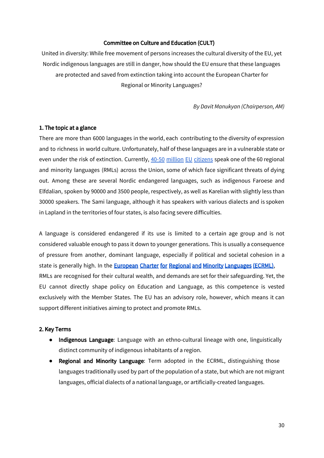#### Committee on Culture and Education (CULT)

United in diversity: While free movement of persons increases the cultural diversity of the EU, yet Nordic indigenous languages are still in danger, how should the EU ensure that these languages are protected and saved from extinction taking into account the European Charter for Regional or Minority Languages?

*By Davit Manukyan (Chairperson, AM)*

#### 1. The topic at a glance

There are more than 6000 languages in the world, each contributing to the diversity of expression and to richness in world culture. Unfortunately, half of these languages are in a vulnerable state or even under the risk of extinction[.](http://www.europarl.europa.eu/EPRS/EPRS-Briefing-589794-Regional-minority-languages-EU-FINAL.pdf) Currently, 40-50 million EU [citizens](http://www.europarl.europa.eu/EPRS/EPRS-Briefing-589794-Regional-minority-languages-EU-FINAL.pdf) speak one of the 60 regional and minority languages (RMLs) across the Union, some of which face significant threats of dying out. Among these are several Nordic endangered languages, such as indigenous Faroese and Elfdalian, spoken by 90000 and 3500 people, respectively, as well as Karelian with slightly less than 30000 speakers. The Sami language, although it has speakers with various dialects and is spoken in Lapland in the territories of four states, is also facing severe difficulties.

A language is considered endangered if its use is limited to a certain age group and is not considered valuable enough to pass it down to younger generations. This is usually a consequence of pressure from another, dominant language, especially if political and societal cohesion in a state is generally high. In the **[European Charter for Regional and Minority Languages \(ECRML\)](https://www.coe.int/en/web/european-charter-regional-or-minority-languages/about-the-charter)**, RMLs are recognised for their cultural wealth, and demands are set for their safeguarding. Yet, the EU cannot directly shape policy on Education and Language, as this competence is vested exclusively with the Member States. The EU has an advisory role, however, which means it can support different initiatives aiming to protect and promote RMLs.

#### 2. Key Terms

- Indigenous Language: Language with an ethno-cultural lineage with one, linguistically distinct community of indigenous inhabitants of a region.
- Regional and Minority Language: Term adopted in the ECRML, distinguishing those languages traditionally used by part of the population of a state, but which are not migrant languages, official dialects of a national language, or artificially-created languages.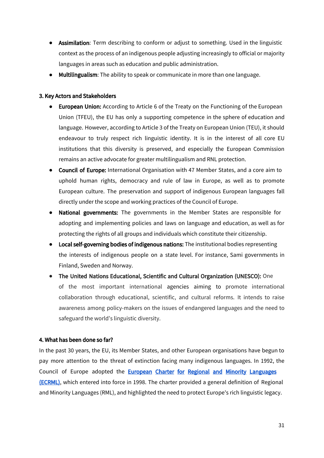- Assimilation: Term describing to conform or adjust to something. Used in the linguistic context as the process of an indigenous people adjusting increasingly to official or majority languages in areas such as education and public administration.
- Multilingualism: The ability to speak or communicate in more than one language.

#### 3. Key Actors and Stakeholders

- European Union: According to Article 6 of the Treaty on the Functioning of the European Union (TFEU), the EU has only a supporting competence in the sphere of education and language. However, according to Article 3 of the Treaty on European Union (TEU), it should endeavour to truly respect rich linguistic identity. It is in the interest of all core EU institutions that this diversity is preserved, and especially the European Commission remains an active advocate for greater multilingualism and RNL protection.
- Council of Europe: International Organisation with 47 Member States, and a core aim to uphold human rights, democracy and rule of law in Europe, as well as to promote European culture. The preservation and support of indigenous European languages fall directly under the scope and working practices of the Council of Europe.
- National governments: The governments in the Member States are responsible for adopting and implementing policies and laws on language and education, as well as for protecting the rights of all groups and individuals which constitute their citizenship.
- Local self-governing bodies of indigenous nations: The institutional bodies representing the interests of indigenous people on a state level. For instance, Sami governments in Finland, Sweden and Norway.
- The United Nations Educational, Scientific and Cultural Organization (UNESCO): One of the most important international agencies aiming to promote international collaboration through educational, scientific, and cultural reforms. It intends to raise awareness among policy-makers on the issues of endangered languages and the need to safeguard the world's linguistic diversity.

#### 4. What has been done so far?

In the past 30 years, the EU, its Member States, and other European organisations have begun to pay more attention to the threat of extinction facing many indigenous languages. In 1992, the Council of Europe adopted the **European Charter for Regional and Minority Languages** [\(ECRML\)](https://www.coe.int/en/web/european-charter-regional-or-minority-languages/about-the-charter), which entered into force in 1998. The charter provided a general definition of Regional and Minority Languages (RML), and highlighted the need to protect Europe's rich linguistic legacy.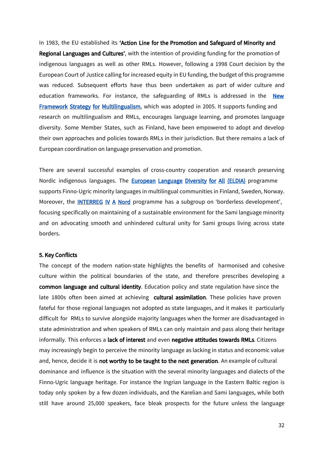In 1983, the EU established its 'Action Line for the Promotion and Safeguard of Minority and Regional Languages and Cultures', with the intention of providing funding for the promotion of indigenous languages as well as other RMLs. However, following a 1998 Court decision by the European Court of Justice calling for increased equity in EU funding, the budget of this programme was reduced. Subsequent efforts have thus been undertaken as part of wider culture and education frameworks. For instance, the safeguarding of RMLs is addressed in the **New Framework [Strategy for Multilingualism](http://eur-lex.europa.eu/LexUriServ/LexUriServ.do?uri=COM:2005:0596:FIN:en:PDF)**, which was adopted in 2005. It supports funding and research on multilingualism and RMLs, encourages language learning, and promotes language diversity. Some Member States, such as Finland, have been empowered to adopt and develop their own approaches and policies towards RMLs in their jurisdiction. But there remains a lack of European coordination on language preservation and promotion.

There are several successful examples of cross-country cooperation and research preserving Nordic indigenous languages. The **European [Language](http://www.eldia-project.org/index.php/en) Diversity for All (ELDIA)** programme supports Finno-Ugric minority languages in multilingual communities in Finland, Sweden, Norway. Moreover, the **[INTERREG](http://2007-2013.interregnord.com/en.aspx) IV A Nord** programme has a subgroup on 'borderless development', focusing specifically on maintaining of a sustainable environment for the Sami language minority and on advocating smooth and unhindered cultural unity for Sami groups living across state borders.

#### 5. Key Conflicts

The concept of the modern nation-state highlights the benefits of harmonised and cohesive culture within the political boundaries of the state, and therefore prescribes developing a common language and cultural identity. Education policy and state regulation have since the late 1800s often been aimed at achieving cultural assimilation. These policies have proven fateful for those regional languages not adopted as state languages, and it makes it particularly difficult for RMLs to survive alongside majority languages when the former are disadvantaged in state administration and when speakers of RMLs can only maintain and pass along their heritage informally. This enforces a lack of interest and even negative attitudes towards RMLs. Citizens may increasingly begin to perceive the minority language as lacking in status and economic value and, hence, decide it is not worthy to be taught to the next generation. An example of cultural dominance and influence is the situation with the several minority languages and dialects of the Finno-Ugric language heritage. For instance the Ingrian language in the Eastern Baltic region is today only spoken by a few dozen individuals, and the Karelian and Sami languages, while both still have around 25,000 speakers, face bleak prospects for the future unless the language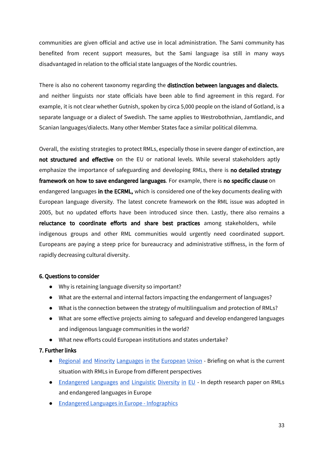communities are given official and active use in local administration. The Sami community has benefited from recent support measures, but the Sami language isa still in many ways disadvantaged in relation to the official state languages of the Nordic countries.

There is also no coherent taxonomy regarding the distinction between languages and dialects, and neither linguists nor state officials have been able to find agreement in this regard. For example, it is not clear whether Gutnish, spoken by circa 5,000 people on the island of Gotland, is a separate language or a dialect of Swedish. The same applies to Westrobothnian, Jamtlandic, and Scanian languages/dialects. Many other Member States face a similar political dilemma.

Overall, the existing strategies to protect RMLs, especially those in severe danger of extinction, are not structured and effective on the EU or national levels. While several stakeholders aptly emphasize the importance of safeguarding and developing RMLs, there is no detailed strategy framework on how to save endangered languages. For example, there is no specific clause on endangered languages in the ECRML, which is considered one of the key documents dealing with European language diversity. The latest concrete framework on the RML issue was adopted in 2005, but no updated efforts have been introduced since then. Lastly, there also remains a reluctance to coordinate efforts and share best practices among stakeholders, while indigenous groups and other RML communities would urgently need coordinated support. Europeans are paying a steep price for bureaucracy and administrative stiffness, in the form of rapidly decreasing cultural diversity.

#### 6. Questions to consider

- Why is retaining language diversity so important?
- What are the external and internal factors impacting the endangerment of languages?
- What is the connection between the strategy of multilingualism and protection of RMLs?
- What are some effective projects aiming to safeguard and develop endangered languages and indigenous language communities in the world?
- What new efforts could European institutions and states undertake?

#### 7. Further links

- **●** Regional and Minority [Languages](http://www.europarl.europa.eu/EPRS/EPRS-Briefing-589794-Regional-minority-languages-EU-FINAL.pdf) in the European Union Briefing on what is the current situation with RMLs in Europe from different perspectives
- [Endangered](http://www.europarl.europa.eu/RegData/etudes/note/join/2013/495851/IPOL-CULT_NT(2013)495851_EN.pdf) Languages and Linguistic Diversity in EU In depth research paper on RMLs and endangered languages in Europe
- Endangered Languages in Europe [Infographics](https://www.goeuro.co.uk/blog/endangered-languages-infographic/)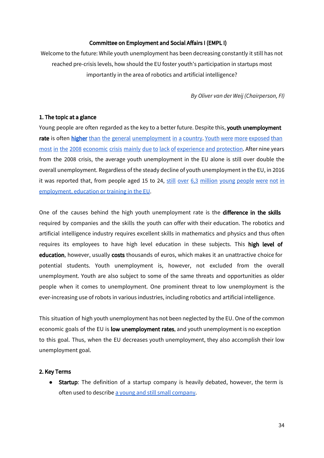#### Committee on Employment and Social Affairs I (EMPL I)

Welcome to the future: While youth unemployment has been decreasing constantly it still has not reached pre-crisis levels, how should the EU foster youth's participation in startups most importantly in the area of robotics and artificial intelligence?

*By Oliver van der Weij (Chairperson, FI)*

#### 1. The topic at a glance

Young people are often regarded as the key to a better future. Despite this, youth unemployment rate is often [higher](http://ec.europa.eu/social/main.jsp?catId=1036) than the general [unemployment](http://ec.europa.eu/social/main.jsp?catId=1036) in a country. Youth were more [exposed](https://www.voxeurope.org/post/causes-youth-unemployment-in-eu-and-eu-policies) than most in the 2008 economic crisis mainly due to lack of [experience](https://www.voxeurope.org/post/causes-youth-unemployment-in-eu-and-eu-policies) and protection. After nine years from the 2008 crisis, the average youth unemployment in the EU alone is still over double the overall unemployment. Regardless of the steady decline of youth unemployment in the EU, in 2016 it was reported that, from people aged 15 to 24, still over 6,3 [million](http://ec.europa.eu/social/main.jsp?catId=1036) young people were not in [employment,](http://ec.europa.eu/social/main.jsp?catId=1036) education or training in the EU.

One of the causes behind the high youth unemployment rate is the difference in the skills required by companies and the skills the youth can offer with their education. The robotics and artificial intelligence industry requires excellent skills in mathematics and physics and thus often requires its employees to have high level education in these subjects. This high level of education, however, usually costs thousands of euros, which makes it an unattractive choice for potential students. Youth unemployment is, however, not excluded from the overall unemployment. Youth are also subject to some of the same threats and opportunities as older people when it comes to unemployment. One prominent threat to low unemployment is the ever-increasing use of robots in various industries, including robotics and artificial intelligence.

This situation of high youth unemployment has not been neglected by the EU. One of the common economic goals of the EU is low unemployment rates, and youth unemployment is no exception to this goal. Thus, when the EU decreases youth unemployment, they also accomplish their low unemployment goal.

#### 2. Key Terms

● Startup: The definition of a startup company is heavily debated, however, the term is often used to describe a young and still small [company.](http://www.businessinsider.com/what-is-a-startup-definition-2014-12?r=US&IR=T&IR=T)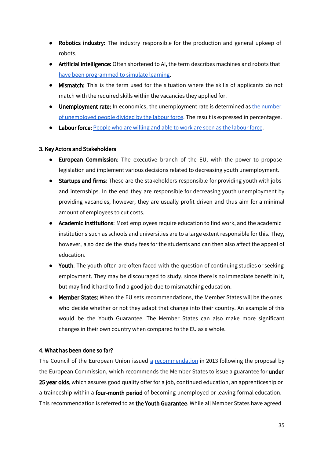- Robotics industry: The industry responsible for the production and general upkeep of robots.
- Artificial intelligence: Often shortened to AI, the term describes machines and robots that have been [programmed](https://www.cnbc.com/2017/06/17/what-is-artificial-intelligence.html) to simulate learning.
- **Mismatch:** This is the term used for the situation where the skills of applicants do not match with the required skills within the vacancies they applied for.
- Unemployment rate: In economics, the unemployment rate is determined as the [number](https://www.investopedia.com/terms/u/unemploymentrate.asp) of [unemployed](https://www.investopedia.com/terms/u/unemploymentrate.asp) people divided by the labour force. The result is expressed in percentages.
- Labour force: [People](http://www.econport.org/content/handbook/Unemployment/Define.html) who are willing and able to work are seen as the labour force.

#### 3. Key Actors and Stakeholders

- European Commission: The executive branch of the EU, with the power to propose legislation and implement various decisions related to decreasing youth unemployment.
- Startups and firms: These are the stakeholders responsible for providing youth with jobs and internships. In the end they are responsible for decreasing youth unemployment by providing vacancies, however, they are usually profit driven and thus aim for a minimal amount of employees to cut costs.
- Academic institutions: Most employees require education to find work, and the academic institutions such as schools and universities are to a large extent responsible for this. They, however, also decide the study fees for the students and can then also affect the appeal of education.
- Youth: The youth often are often faced with the question of continuing studies or seeking employment. They may be discouraged to study, since there is no immediate benefit in it, but may find it hard to find a good job due to mismatching education.
- Member States: When the EU sets recommendations, the Member States will be the ones who decide whether or not they adapt that change into their country. An example of this would be the Youth Guarantee. The Member States can also make more significant changes in their own country when compared to the EU as a whole.

#### 4. What has been done so far?

The Council of the European Union issued a [recommendation](http://ec.europa.eu/social/main.jsp?catId=1036) in 2013 following the proposal by the European Commission, which recommends the Member States to issue a guarantee for under 25 year olds, which assures good quality offer for a job, continued education, an apprenticeship or a traineeship within a **four-month period** of becoming unemployed or leaving formal education. This recommendation is referred to as the Youth Guarantee. While all Member States have agreed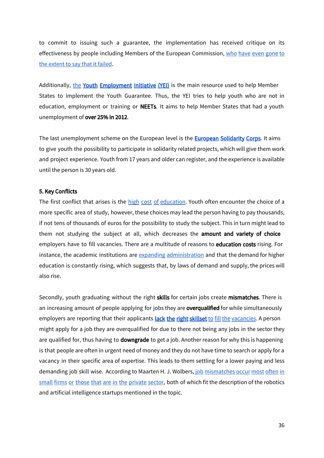to commit to issuing such a guarantee, the implementation has received critique on its effectiveness by people including Members of the European Commission, who have even [gone](https://www.youtube.com/watch?v=Qr1zoGJ6wYA) to the [extent](https://www.youtube.com/watch?v=Qr1zoGJ6wYA) to say that it failed.

Additionally, [the](http://ec.europa.eu/social/main.jsp?catId=1176&langId=en) Youth Employment [Initiative \(YEI\)](http://ec.europa.eu/social/main.jsp?catId=1176&langId=en) is the main resource used to help Member States to implement the Youth Guarantee. Thus, the YEI tries to help youth who are not in education, employment or training or **NEETs**. It aims to help Member States that had a youth unemployment of over 25% in 2012.

The last unemployment scheme on the European level is the **[European Solidarity Corps](https://europa.eu/youth/solidarity_en)**. It aims to give youth the possibility to participate in solidarity related projects, which will give them work and project experience. Youth from 17 years and older can register, and the experience is available until the person is 30 years old.

#### 5. Key Conflicts

The first conflict that arises is the high cost of [education.](https://www.youtube.com/watch?v=Qr1zoGJ6wYA) Youth often encounter the choice of a more specific area of study, however, these choices may lead the person having to pay thousands, if not tens of thousands of euros for the possibility to study the subject. This in turn might lead to them not studying the subject at all, which decreases the amount and variety of choice employers have to fill vacancies. There are a multitude of reasons to education costs rising. For instance, the academic institutions are expanding [administration](https://www.nytimes.com/2015/04/05/opinion/sunday/the-real-reason-college-tuition-costs-so-much.html) and that the demand for higher education is constantly rising, which suggests that, by laws of demand and supply, the prices will also rise.

Secondly, youth graduating without the right skills for certain jobs create mismatches. There is an increasing amount of people applying for jobs they are **overqualified** for while simultaneously employers are reporting that their applicants [lack the right skillset](https://www.voxeurope.org/post/causes-youth-unemployment-in-eu-and-eu-policies) to fill the [vacancies](https://www.voxeurope.org/post/causes-youth-unemployment-in-eu-and-eu-policies). A person might apply for a job they are overqualified for due to there not being any jobs in the sector they are qualified for, thus having to downgrade to get a job. Another reason for why this is happening is that people are often in urgent need of money and they do not have time to search or apply for a vacancy in their specific area of expertise. This leads to them settling for a lower paying and less demanding job skill wise. According to Maarten H. J. Wolbers, job [mismatches](https://link.springer.com/article/10.1186/s40172-016-0052-x) occur most often in small firms or those that are in the [private](https://link.springer.com/article/10.1186/s40172-016-0052-x) sector, both of which fit the description of the robotics and artificial intelligence startups mentioned in the topic.

36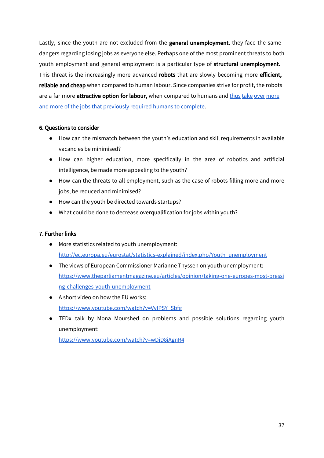Lastly, since the youth are not excluded from the **general unemployment**, they face the same dangers regarding losing jobs as everyone else. Perhaps one of the most prominent threats to both youth employment and general employment is a particular type of **structural unemployment.** This threat is the increasingly more advanced robots that are slowly becoming more efficient, reliable and cheap when compared to human labour. Since companies strive for profit, the robots are a far [more](https://www.theguardian.com/technology/2017/jan/11/robots-jobs-employees-artificial-intelligence) attractive option for labour, when compared to humans and thus take over more and more of the jobs that [previously](https://www.theguardian.com/technology/2017/jan/11/robots-jobs-employees-artificial-intelligence) required humans to complete.

#### 6. Questions to consider

- How can the mismatch between the youth's education and skill requirements in available vacancies be minimised?
- How can higher education, more specifically in the area of robotics and artificial intelligence, be made more appealing to the youth?
- How can the threats to all employment, such as the case of robots filling more and more jobs, be reduced and minimised?
- How can the youth be directed towards startups?
- What could be done to decrease overqualification for jobs within youth?

#### 7. Further links

- More statistics related to youth unemployment: [http://ec.europa.eu/eurostat/statistics-explained/index.php/Youth\\_unemployment](http://ec.europa.eu/eurostat/statistics-explained/index.php/Youth_unemployment)
- The views of European Commissioner Marianne Thyssen on youth unemployment: [https://www.theparliamentmagazine.eu/articles/opinion/taking-one-europes-most-pressi](https://www.theparliamentmagazine.eu/articles/opinion/taking-one-europes-most-pressing-challenges-youth-unemployment) [ng-challenges-youth-unemployment](https://www.theparliamentmagazine.eu/articles/opinion/taking-one-europes-most-pressing-challenges-youth-unemployment)
- A short video on how the EU works: [https://www.youtube.com/watch?v=VvIPSY\\_Sbfg](https://www.youtube.com/watch?v=VvIPSY_Sbfg)
- TEDx talk by Mona Mourshed on problems and possible solutions regarding youth unemployment:

<https://www.youtube.com/watch?v=wDjD8iAgnR4>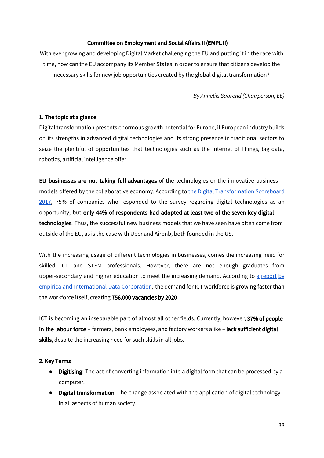#### Committee on Employment and Social Affairs II (EMPL II)

With ever growing and developing Digital Market challenging the EU and putting it in the race with time, how can the EU accompany its Member States in order to ensure that citizens develop the necessary skills for new job opportunities created by the global digital transformation?

*By Anneliis Saarend (Chairperson, EE)*

#### 1. The topic at a glance

Digital transformation presents enormous growth potential for Europe, if European industry builds on its strengths in advanced digital technologies and its strong presence in traditional sectors to seize the plentiful of opportunities that technologies such as the Internet of Things, big data, robotics, artificial intelligence offer.

EU businesses are not taking full advantages of the technologies or the innovative business models offered by the collaborative economy. According to the Digital [Transformation](http://ec.europa.eu/growth/content/digital-transformation-scoreboard-2017-0_en) Scoreboard [2017,](http://ec.europa.eu/growth/content/digital-transformation-scoreboard-2017-0_en) 75% of companies who responded to the survey regarding digital technologies as an opportunity, but only 44% of respondents had adopted at least two of the seven key digital technologies. Thus, the successful new business models that we have seen have often come from outside of the EU, as is the case with Uber and Airbnb, both founded in the US.

With the increasing usage of different technologies in businesses, comes the increasing need for skilled ICT and STEM professionals. However, there are not enough graduates from upper-secondary and higher education to meet the increasing demand. According to a [report](http://www.empirica.com/fileadmin/publikationenseries/documents/Schriftenreihe_2016_Nr_03_Digital_Leadership%20Skills_for_the_Transf.pdf) by empirica and [International](http://www.empirica.com/fileadmin/publikationenseries/documents/Schriftenreihe_2016_Nr_03_Digital_Leadership%20Skills_for_the_Transf.pdf) Data Corporation, the demand for ICT workforce is growing faster than the workforce itself, creating 756,000 vacancies by 2020.

ICT is becoming an inseparable part of almost all other fields. Currently, however, 37% of people in the labour force - farmers, bank employees, and factory workers alike - lack sufficient digital skills, despite the increasing need for such skills in all jobs.

#### 2. Key Terms

- Digitising: The act of converting information into a digital form that can be processed by a computer.
- Digital transformation: The change associated with the application of digital technology in all aspects of human society.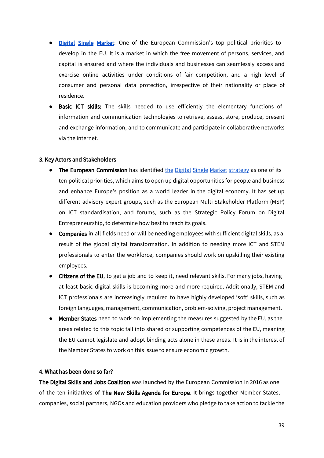- [Digital](https://ec.europa.eu/commission/priorities/digital-single-market_en) Single Market: One of the European Commission's top political priorities to develop in the EU. It is a market in which the free movement of persons, services, and capital is ensured and where the individuals and businesses can seamlessly access and exercise online activities under conditions of fair competition, and a high level of consumer and personal data protection, irrespective of their nationality or place of residence.
- **●** Basic ICT skills: The skills needed to use efficiently the elementary functions of information and communication technologies to retrieve, assess, store, produce, present and exchange information, and to communicate and participate in collaborative networks via the internet.

#### 3. Key Actors and Stakeholders

- The European Commission has identified the Digital Single Market [strategy](https://ec.europa.eu/digital-single-market/) as one of its ten political priorities, which aims to open up digital opportunities for people and business and enhance Europe's position as a world leader in the digital economy. It has set up different advisory expert groups, such as the European Multi Stakeholder Platform (MSP) on ICT standardisation, and forums, such as the Strategic Policy Forum on Digital Entrepreneurship, to determine how best to reach its goals.
- Companies in all fields need or will be needing employees with sufficient digital skills, as a result of the global digital transformation. In addition to needing more ICT and STEM professionals to enter the workforce, companies should work on upskilling their existing employees.
- Citizens of the EU, to get a job and to keep it, need relevant skills. For many jobs, having at least basic digital skills is becoming more and more required. Additionally, STEM and ICT professionals are increasingly required to have highly developed 'soft' skills, such as foreign languages, management, communication, problem-solving, project management.
- **Member States** need to work on implementing the measures suggested by the EU, as the areas related to this topic fall into shared or supporting competences of the EU, meaning the EU cannot legislate and adopt binding acts alone in these areas. It is in the interest of the Member States to work on this issue to ensure economic growth.

#### 4. What has been done so far?

The Digital Skills and Jobs Coalition was launched by the European Commission in 2016 as one of the ten initiatives of The New Skills Agenda for Europe. It brings together Member States, companies, social partners, NGOs and education providers who pledge to take action to tackle the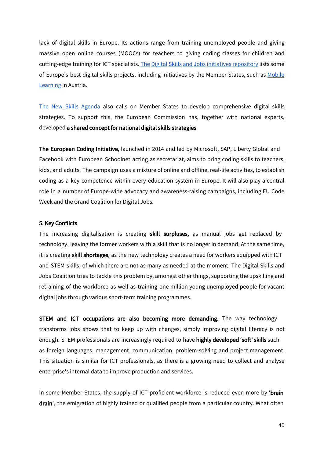lack of digital skills in Europe. Its actions range from training unemployed people and giving massive open online courses (MOOCs) for teachers to giving coding classes for children and cutting-edge training for ICT specialists. The Digital Skills and Jobs initiatives [repository](https://ec.europa.eu/digital-single-market/en/digital-skills-jobs-coalition-initiatives) lists some of Europe's best digital skills projects, including initiatives by the Member States, such as [Mobile](https://ec.europa.eu/digital-single-market/en/content/mobile-learning) [Learning](https://ec.europa.eu/digital-single-market/en/content/mobile-learning) in Austria.

The New Skills [Agenda](http://ec.europa.eu/social/main.jsp?catId=1223) also calls on Member States to develop comprehensive digital skills strategies. To support this, the European Commission has, together with national experts, developed a shared concept for national digital skills strategies.

The European Coding Initiative, launched in 2014 and led by Microsoft, SAP, Liberty Global and Facebook with European Schoolnet acting as secretariat, aims to bring coding skills to teachers, kids, and adults. The campaign uses a mixture of online and offline, real-life activities, to establish coding as a key competence within every education system in Europe. It will also play a central role in a number of Europe-wide advocacy and awareness-raising campaigns, including EU Code Week and the Grand Coalition for Digital Jobs.

#### 5. Key Conflicts

The increasing digitalisation is creating skill surpluses, as manual jobs get replaced by technology, leaving the former workers with a skill that is no longer in demand. At the same time, it is creating skill shortages, as the new technology creates a need for workers equipped with ICT and STEM skills, of which there are not as many as needed at the moment. The Digital Skills and Jobs Coalition tries to tackle this problem by, amongst other things, supporting the upskilling and retraining of the workforce as well as training one million young unemployed people for vacant digital jobs through various short-term training programmes.

**STEM** and ICT occupations are also becoming more demanding. The way technology transforms jobs shows that to keep up with changes, simply improving digital literacy is not enough. STEM professionals are increasingly required to have highly developed 'soft' skills such as foreign languages, management, communication, problem-solving and project management. This situation is similar for ICT professionals, as there is a growing need to collect and analyse enterprise's internal data to improve production and services.

In some Member States, the supply of ICT proficient workforce is reduced even more by 'brain drain', the emigration of highly trained or qualified people from a particular country. What often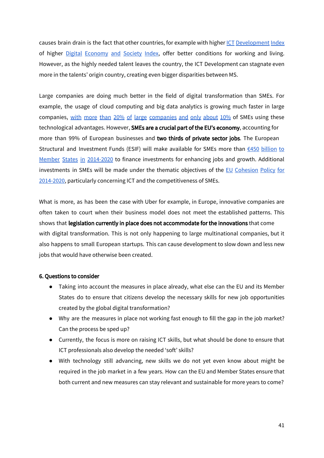causes brain drain is the fact that other countries, for example with higher ICT [Development](http://www.itu.int/net4/ITU-D/idi/2017/index.html) Index of higher Digital [Economy](https://ec.europa.eu/digital-single-market/desi) and Society Index, offer better conditions for working and living. However, as the highly needed talent leaves the country, the ICT Development can stagnate even more in the talents' origin country, creating even bigger disparities between MS.

Large companies are doing much better in the field of digital transformation than SMEs. For example, the usage of cloud computing and big data analytics is growing much faster in large [companies](https://www.youtube.com/watch?v=hONGhY-zXZw&feature=youtu.be), with more than 20% of large companies and only about 10% of SMEs using these technological advantages. However, SMEs are a crucial part of the EU's economy, accounting for more than 99% of European businesses and two thirds of private sector jobs. The European Structural and Investment Funds (ESIF) will make available for SMEs more than  $6450$  [billion](http://ec.europa.eu/regional_policy/en/policy/themes/sme-competitiveness/) to Member States in [2014-2020](http://ec.europa.eu/regional_policy/en/policy/themes/sme-competitiveness/) to finance investments for enhancing jobs and growth. Additional investments in SMEs will be made under the thematic objectives of the EU [Cohesion](http://ec.europa.eu/regional_policy/sources/docgener/informat/basic/basic_2014_en.pdf) Policy for [2014-2020](http://ec.europa.eu/regional_policy/sources/docgener/informat/basic/basic_2014_en.pdf), particularly concerning ICT and the competitiveness of SMEs.

What is more, as has been the case with Uber for example, in Europe, innovative companies are often taken to court when their business model does not meet the established patterns. This shows that legislation currently in place does not accommodate for the innovations that come with digital transformation. This is not only happening to large multinational companies, but it also happens to small European startups. This can cause development to slow down and less new jobs that would have otherwise been created.

#### 6. Questions to consider

- Taking into account the measures in place already, what else can the EU and its Member States do to ensure that citizens develop the necessary skills for new job opportunities created by the global digital transformation?
- Why are the measures in place not working fast enough to fill the gap in the job market? Can the process be sped up?
- Currently, the focus is more on raising ICT skills, but what should be done to ensure that ICT professionals also develop the needed 'soft' skills?
- With technology still advancing, new skills we do not yet even know about might be required in the job market in a few years. How can the EU and Member States ensure that both current and new measures can stay relevant and sustainable for more years to come?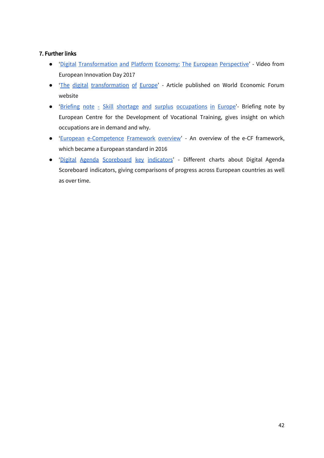#### 7. Further links

- 'Digital [Transformation](https://www.youtube.com/watch?v=vo2p2jRLaBw) and Platform Economy: The European Perspective' Video from European Innovation Day 2017
- 'The digital [transformation](https://www.weforum.org/agenda/2015/03/the-digital-transformation-of-europe/) of Europe' Article published on World Economic Forum website
- 'Briefing note Skill shortage and surplus [occupations](http://www.cedefop.europa.eu/en/publications-and-resources/publications/9115) in Europe'- Briefing note by European Centre for the Development of Vocational Training, gives insight on which occupations are in demand and why.
- 'European [e-Competence](http://www.ecompetences.eu/e-cf-overview/) Framework overview' An overview of the e-CF framework, which became a European standard in 2016
- 'Digital Agenda [Scoreboard](http://digital-agenda-data.eu/datasets/digital_agenda_scoreboard_key_indicators/visualizations) key indicators' Different charts about Digital Agenda Scoreboard indicators, giving comparisons of progress across European countries as well as over time.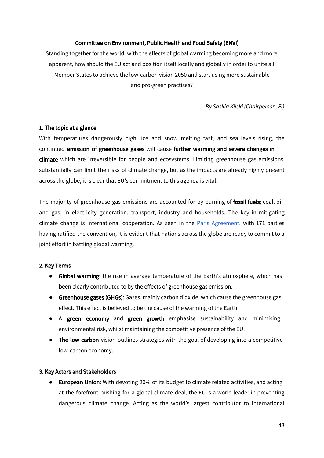#### Committee on Environment, Public Health and Food Safety (ENVI)

Standing together for the world: with the effects of global warming becoming more and more apparent, how should the EU act and position itself locally and globally in order to unite all Member States to achieve the low-carbon vision 2050 and start using more sustainable and pro-green practises?

*By Saskia Kiiski (Chairperson, FI)*

#### 1. The topic at a glance

With temperatures dangerously high, ice and snow melting fast, and sea levels rising, the continued emission of greenhouse gases will cause further warming and severe changes in climate which are irreversible for people and ecosystems. Limiting greenhouse gas emissions substantially can limit the risks of climate change, but as the impacts are already highly present across the globe, it is clear that EU's commitment to this agenda is vital.

The majority of greenhouse gas emissions are accounted for by burning of fossil fuels; coal, oil and gas, in electricity generation, transport, industry and households. The key in mitigating climate change is international cooperation. As seen in the Paris [Agreement,](http://unfccc.int/paris_agreement/items/9485.php) with 171 parties having ratified the convention, it is evident that nations across the globe are ready to commit to a joint effort in battling global warming.

#### 2. Key Terms

- Global warming: the rise in average temperature of the Earth's atmosphere, which has been clearly contributed to by the effects of greenhouse gas emission.
- **Greenhouse gases (GHGs)**: Gases, mainly carbon dioxide, which cause the greenhouse gas effect. This effect is believed to be the cause of the warming of the Earth.
- A green economy and green growth emphasise sustainability and minimising environmental risk, whilst maintaining the competitive presence of the EU.
- **The low carbon** vision outlines strategies with the goal of developing into a competitive low-carbon economy.

#### 3. Key Actors and Stakeholders

● European Union: With devoting 20% of its budget to climate related activities, and acting at the forefront pushing for a global climate deal, the EU is a world leader in preventing dangerous climate change. Acting as the world's largest contributor to international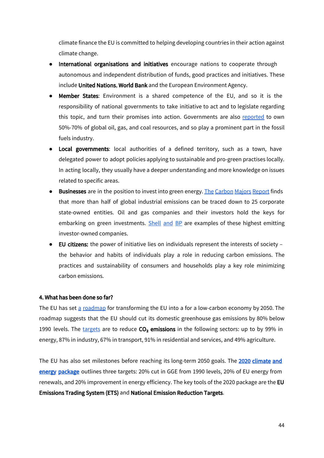climate finance the EU is committed to helping developing countries in their action against climate change.

- International organisations and initiatives encourage nations to cooperate through autonomous and independent distribution of funds, good practices and initiatives. These include United Nations, World Bank and the European Environment Agency.
- Member States: Environment is a shared competence of the EU, and so it is the responsibility of national governments to take initiative to act and to legislate regarding this topic, and turn their promises into action. Governments are also [reported](https://climatepolicyinitiative.org/publication/moving-to-a-low-carbon-economy/) to own 50%-70% of global oil, gas, and coal resources, and so play a prominent part in the fossil fuels industry.
- Local governments: local authorities of a defined territory, such as a town, have delegated power to adopt policies applying to sustainable and pro-green practises locally. In acting locally, they usually have a deeper understanding and more knowledge on issues related to specific areas.
- Businesses are in the position to invest into green energy. The [Carbon](https://b8f65cb373b1b7b15feb-c70d8ead6ced550b4d987d7c03fcdd1d.ssl.cf3.rackcdn.com/cms/reports/documents/000/002/327/original/Carbon-Majors-Report-2017.pdf?1499691240) Majors Report finds that more than half of global industrial emissions can be traced down to 25 corporate state-owned entities. Oil and gas companies and their investors hold the keys for embarking on green investments. [Shell](https://www.theguardian.com/sustainable-business/2017/jul/10/100-fossil-fuel-companies-investors-responsible-71-global-emissions-cdp-study-climate-change) and BP are examples of these highest emitting investor-owned companies.
- EU citizens: the power of initiative lies on individuals represent the interests of society the behavior and habits of individuals play a role in reducing carbon emissions. The practices and sustainability of consumers and households play a key role minimizing carbon emissions.

#### 4. What has been done so far?

The EU has set  $a$  [roadmap](http://www.cbss.org/wp-content/uploads/2012/12/EU-Low-Carbon-Road-Map-2050.pdf) for transforming the EU into a for a low-carbon economy by 2050. The roadmap suggests that the EU should cut its domestic greenhouse gas emissions by 80% below 1990 levels. The [targets](http://www.europarl.europa.eu/news/en/headlines/society/20120126STO36324/environment-committee-backs-roadmap-to-low-carbon-economy) are to reduce  $CO<sub>2</sub>$  emissions in the following sectors: up to by 99% in energy, 87% in industry, 67% in transport, 91% in residential and services, and 49% agriculture.

The EU has also set milestones before reaching its long-term 2050 goals. The 2020 climate and [energy package](https://ec.europa.eu/clima/policies/strategies/2020_en#tab-0-0) outlines three targets: 20% cut in GGE from 1990 levels, 20% of EU energy from renewals, and 20% improvement in energy efficiency. The key tools of the 2020 package are the EU Emissions Trading System (ETS) and National Emission Reduction Targets.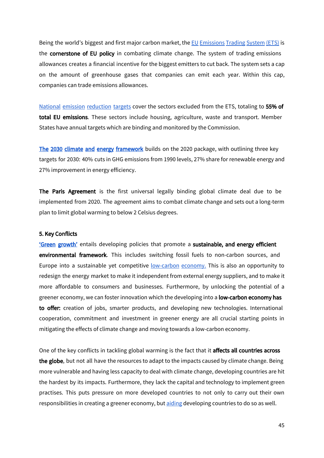Being the world's biggest and first major carbon market, the **EU [Emissions](https://ec.europa.eu/clima/policies/ets_en) Trading System (ETS)** is the **cornerstone of EU policy** in combating climate change. The system of trading emissions allowances creates a financial incentive for the biggest emitters to cut back. The system sets a cap on the amount of greenhouse gases that companies can emit each year. Within this cap, companies can trade emissions allowances.

National emission [reduction](https://ec.europa.eu/clima/policies/strategies/2020_en) targets cover the sectors excluded from the ETS, totaling to 55% of total EU emissions. These sectors include housing, agriculture, waste and transport. Member States have annual targets which are binding and monitored by the Commission.

The 2030 climate and [energy framework](https://ec.europa.eu/clima/policies/strategies/2030_en) builds on the 2020 package, with outlining three key targets for 2030: 40% cuts in GHG emissions from 1990 levels, 27% share for renewable energy and 27% improvement in energy efficiency.

The Paris Agreement is the first universal legally binding global climate deal due to be implemented from 2020. The agreement aims to combat climate change and sets out a long-term plan to limit global warming to below 2 Celsius degrees.

#### 5. Key Conflicts

'Green [growth'](https://webgate.ec.europa.eu/greencitytool/resources/docs/guidance/GreenGrowth.pdf) entails developing policies that promote a sustainable, and energy efficient environmental framework. This includes switching fossil fuels to non-carbon sources, and Europe into a sustainable yet competitive [low-carbon](https://ec.europa.eu/growth/industry/sustainability/low-carbon-economy_fi) economy. This is also an opportunity to redesign the energy market to make it independent from external energy suppliers, and to make it more affordable to consumers and businesses. Furthermore, by unlocking the potential of a greener economy, we can foster innovation which the developing into a low-carbon economy has to offer: creation of jobs, smarter products, and developing new technologies. International cooperation, commitment and investment in greener energy are all crucial starting points in mitigating the effects of climate change and moving towards a low-carbon economy.

One of the key conflicts in tackling global warming is the fact that it **affects all countries across** the globe, but not all have the resources to adapt to the impacts caused by climate change. Being more vulnerable and having less capacity to deal with climate change, developing countries are hit the hardest by its impacts. Furthermore, they lack the capital and technology to implement green practises. This puts pressure on more developed countries to not only to carry out their own responsibilities in creating a greener economy, but [aiding](https://ec.europa.eu/clima/policies/international/cooperation_en) developing countries to do so as well.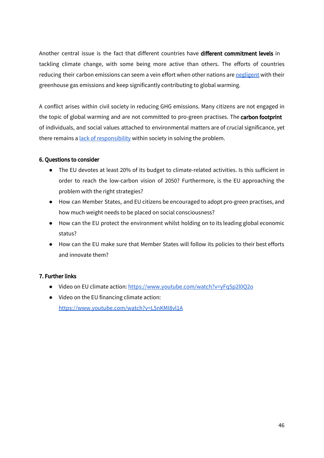Another central issue is the fact that different countries have different commitment levels in tackling climate change, with some being more active than others. The efforts of countries reducing their carbon emissions can seem a vein effort when other nations are [negligent](http://www.wri.org/blog/2017/04/interactive-chart-explains-worlds-top-10-emitters-and-how-theyve-changed) with their greenhouse gas emissions and keep significantly contributing to global warming.

A conflict arises within civil society in reducing GHG emissions. Many citizens are not engaged in the topic of global warming and are not committed to pro-green practises. The carbon footprint of individuals, and social values attached to environmental matters are of crucial significance, yet there remains a lack of [responsibility](http://science.time.com/2013/10/21/why-we-dont-care-about-saving-our-grandchildren-from-climate-change/) within society in solving the problem.

#### 6. Questions to consider

- The EU devotes at least 20% of its budget to climate-related activities. Is this sufficient in order to reach the low-carbon vision of 2050? Furthermore, is the EU approaching the problem with the right strategies?
- How can Member States, and EU citizens be encouraged to adopt pro-green practises, and how much weight needs to be placed on social consciousness?
- How can the EU protect the environment whilst holding on to its leading global economic status?
- How can the EU make sure that Member States will follow its policies to their best efforts and innovate them?

#### 7. Further links

- Video on EU climate action: <https://www.youtube.com/watch?v=yFq5p2l0Q2o>
- Video on the EU financing climate action: <https://www.youtube.com/watch?v=L5nKMI8vl1A>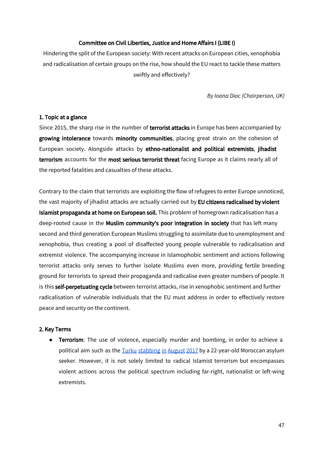#### Committee on Civil Liberties, Justice and Home Affairs I (LIBE I)

Hindering the split of the European society: With recent attacks on European cities, xenophobia and radicalisation of certain groups on the rise, how should the EU react to tackle these matters swiftly and effectively?

*By Ioana Diac (Chairperson, UK)*

#### 1. Topic at a glance

Since 2015, the sharp rise in the number of terrorist attacks in Europe has been accompanied by growing intolerance towards minority communities, placing great strain on the cohesion of European society. Alongside attacks by ethno-nationalist and political extremists, jihadist terrorism accounts for the most serious terrorist threat facing Europe as it claims nearly all of the reported fatalities and casualties of these attacks.

Contrary to the claim that terrorists are exploiting the flow of refugees to enter Europe unnoticed, the vast majority of jihadist attacks are actually carried out by EU citizens radicalised by violent Islamist propaganda at home on European soil. This problem of homegrown radicalisation has a deep-rooted cause in the Muslim community's poor integration in society that has left many second and third generation European Muslims struggling to assimilate due to unemployment and xenophobia, thus creating a pool of disaffected young people vulnerable to radicalisation and extremist violence. The accompanying increase in Islamophobic sentiment and actions following terrorist attacks only serves to further isolate Muslims even more, providing fertile breeding ground for terrorists to spread their propaganda and radicalise even greater numbers of people. It is this **self-perpetuating cycle** between terrorist attacks, rise in xenophobic sentiment and further radicalisation of vulnerable individuals that the EU must address in order to effectively restore peace and security on the continent.

#### 2. Key Terms

**•** Terrorism: The use of violence, especially murder and bombing, in order to achieve a political aim such as the Turku [stabbing](https://www.theguardian.com/world/2017/aug/18/finland-police-report-multiple-stabbings-in-city-of-turku) in August 2017 by a 22-year-old Moroccan asylum seeker. However, it is not solely limited to radical Islamist terrorism but encompasses violent actions across the political spectrum including far-right, nationalist or left-wing extremists.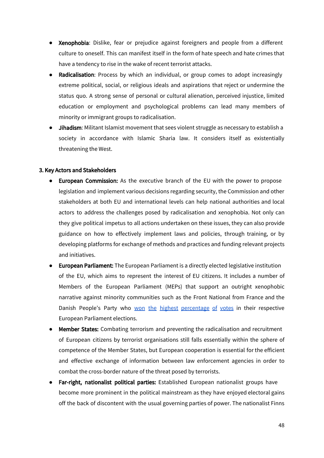- Xenophobia: Dislike, fear or prejudice against foreigners and people from a different culture to oneself. This can manifest itself in the form of hate speech and hate crimes that have a tendency to rise in the wake of recent terrorist attacks.
- **Radicalisation:** Process by which an individual, or group comes to adopt increasingly extreme political, social, or religious ideals and aspirations that reject or undermine the status quo. A strong sense of personal or cultural alienation, perceived injustice, limited education or employment and psychological problems can lead many members of minority or immigrant groups to radicalisation.
- Jihadism: Militant Islamist movement that sees violent struggle as necessary to establish a society in accordance with Islamic Sharia law. It considers itself as existentially threatening the West.

#### 3. Key Actors and Stakeholders

- European Commission: As the executive branch of the EU with the power to propose legislation and implement various decisions regarding security, the Commission and other stakeholders at both EU and international levels can help national authorities and local actors to address the challenges posed by radicalisation and xenophobia. Not only can they give political impetus to all actions undertaken on these issues, they can also provide guidance on how to effectively implement laws and policies, through training, or by developing platforms for exchange of methods and practices and funding relevant projects and initiatives.
- European Parliament: The European Parliament is a directly elected legislative institution of the EU, which aims to represent the interest of EU citizens. It includes a number of Members of the European Parliament (MEPs) that support an outright xenophobic narrative against minority communities such as the Front National from France and the Danish People's Party who won the highest [percentage](http://www.huffingtonpost.co.uk/2014/05/26/far-right-europe%20election_n_5391873.html#gallery/350978/1) of votes in their respective European Parliament elections.
- **Member States:** Combating terrorism and preventing the radicalisation and recruitment of European citizens by terrorist organisations still falls essentially within the sphere of competence of the Member States, but European cooperation is essential for the efficient and effective exchange of information between law enforcement agencies in order to combat the cross-border nature of the threat posed by terrorists.
- Far-right, nationalist political parties: Established European nationalist groups have become more prominent in the political mainstream as they have enjoyed electoral gains off the back of discontent with the usual governing parties of power. The nationalist Finns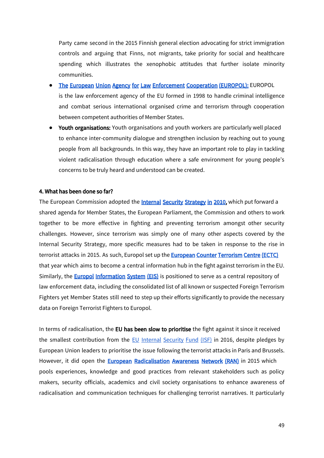Party came second in the 2015 Finnish general election advocating for strict immigration controls and arguing that Finns, not migrants, take priority for social and healthcare spending which illustrates the xenophobic attitudes that further isolate minority communities.

- **[The European Union Agency for Law Enforcement Cooperation \(EUROPOL\):](https://www.europol.europa.eu/about-europol) EUROPOL** is the law enforcement agency of the EU formed in 1998 to handle criminal intelligence and combat serious international organised crime and terrorism through cooperation between competent authorities of Member States.
- Youth organisations: Youth organisations and youth workers are particularly well placed to enhance inter-community dialogue and strengthen inclusion by reaching out to young people from all backgrounds. In this way, they have an important role to play in tackling violent radicalisation through education where a safe environment for young people's concerns to be truly heard and understood can be created.

#### 4. What has been done so far?

The European Commission adopted the **[Internal Security Strategy in 2010](http://eur-lex.europa.eu/legal-content/EN/TXT/?uri=LEGISSUM:jl0050)**, which put forward a shared agenda for Member States, the European Parliament, the Commission and others to work together to be more effective in fighting and preventing terrorism amongst other security challenges. However, since terrorism was simply one of many other aspects covered by the Internal Security Strategy, more specific measures had to be taken in response to the rise in terrorist attacks in 2015. As such, Europol set up the **[European Counter Terrorism Centre \(ECTC\)](https://www.europol.europa.eu/about-europol/european-counter-terrorism-centre-ectc)** that year which aims to become a central information hub in the fight against terrorism in the EU. Similarly, the **[Europol Information System \(EIS\)](https://www.europol.europa.eu/activities-services/services-support/information-exchange/europol-information-system)** is positioned to serve as a central repository of law enforcement data, including the consolidated list of all known or suspected Foreign Terrorism Fighters yet Member States still need to step up their efforts significantly to provide the necessary data on Foreign Terrorist Fighters to Europol.

In terms of radicalisation, the EU has been slow to prioritise the fight against it since it received the smallest contribution from the  $EU$  Internal [Security](https://ec.europa.eu/home-affairs/financing/fundings/security-and-safeguarding-liberties/internal-security-fund-police_en) Fund (ISF) in 2016, despite pledges by European Union leaders to prioritise the issue following the terrorist attacks in Paris and Brussels. However, it did open the **European Radicalisation Awareness [Network \(RAN\)](https://ec.europa.eu/home-affairs/what-we-do/networks/radicalisation_awareness_network_en)** in 2015 which pools experiences, knowledge and good practices from relevant stakeholders such as policy makers, security officials, academics and civil society organisations to enhance awareness of radicalisation and communication techniques for challenging terrorist narratives. It particularly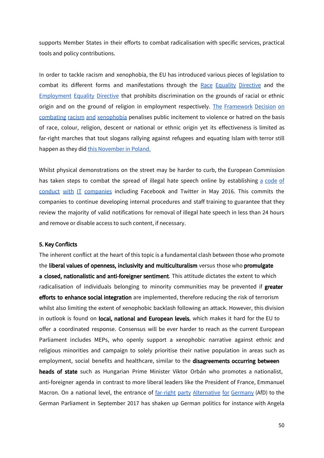supports Member States in their efforts to combat radicalisation with specific services, practical tools and policy contributions.

In order to tackle racism and xenophobia, the EU has introduced various pieces of legislation to combat its different forms and manifestations through the Race Equality [Directive](http://ec.europa.eu/justice/fundamental-rights/racism-xenophobia/index_en.htm) and the **[Employment](http://ec.europa.eu/justice/fundamental-rights/racism-xenophobia/index_en.htm) Equality Directive that prohibits discrimination on the grounds of racial or ethnic** origin and on the ground of religion in employment respectively. The [Framework](http://ec.europa.eu/justice/fundamental-rights/racism-xenophobia/framework-decision/index_en.htm) Decision on combating racism and [xenophobia](http://ec.europa.eu/justice/fundamental-rights/racism-xenophobia/framework-decision/index_en.htm) penalises public incitement to violence or hatred on the basis of race, colour, religion, descent or national or ethnic origin yet its effectiveness is limited as far-right marches that tout slogans rallying against refugees and equating Islam with terror still happen as they did this [November](http://uk.businessinsider.com/60000-people-huge-far-right-march-in-poland-warsaw-white-nationalist-fascism-independence-day-2017-11) in Poland.

Whilst physical demonstrations on the street may be harder to curb, the European Commission has taken steps to combat the spread of illegal hate speech online by establishing a [code](http://europa.eu/rapid/press-release_MEMO-17-1472_en.htm) of conduct with IT [companies](http://europa.eu/rapid/press-release_MEMO-17-1472_en.htm) including Facebook and Twitter in May 2016. This commits the companies to continue developing internal procedures and staff training to guarantee that they review the majority of valid notifications for removal of illegal hate speech in less than 24 hours and remove or disable access to such content, if necessary.

#### 5. Key Conflicts

The inherent conflict at the heart of this topic is a fundamental clash between those who promote the liberal values of openness, inclusivity and multiculturalism versus those who promulgate a closed, nationalistic and anti-foreigner sentiment. This attitude dictates the extent to which radicalisation of individuals belonging to minority communities may be prevented if greater efforts to enhance social integration are implemented, therefore reducing the risk of terrorism whilst also limiting the extent of xenophobic backlash following an attack. However, this division in outlook is found on local, national and European levels, which makes it hard for the EU to offer a coordinated response. Consensus will be ever harder to reach as the current European Parliament includes MEPs, who openly support a xenophobic narrative against ethnic and religious minorities and campaign to solely prioritise their native population in areas such as employment, social benefits and healthcare, similar to the disagreements occurring between heads of state such as Hungarian Prime Minister Viktor Orbán who promotes a nationalist, anti-foreigner agenda in contrast to more liberal leaders like the President of France, Emmanuel Macron. On a national level, the entrance of far-right party [Alternative](http://www.bbc.com/news/world-europe-37274201) for Germany (AfD) to the German Parliament in September 2017 has shaken up German politics for instance with Angela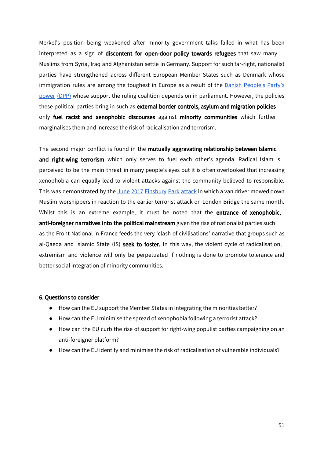Merkel's position being weakened after minority government talks failed in what has been interpreted as a sign of discontent for open-door policy towards refugees that saw many Muslims from Syria, Iraq and Afghanistan settle in Germany. Support for such far-right, nationalist parties have strengthened across different European Member States such as Denmark whose immigration rules are among the toughest in Europe as a result of the Danish [People's](http://www.bbc.co.uk/news/world-europe-36130006) Party's [power](http://www.bbc.co.uk/news/world-europe-36130006) (DPP) whose support the ruling coalition depends on in parliament. However, the policies these political parties bring in such as external border controls, asylum and migration policies only fuel racist and xenophobic discourses against minority communities which further marginalises them and increase the risk of radicalisation and terrorism.

The second major conflict is found in the mutually aggravating relationship between Islamic and right-wing terrorism which only serves to fuel each other's agenda. Radical Islam is perceived to be the main threat in many people's eyes but it is often overlooked that increasing xenophobia can equally lead to violent attacks against the community believed to responsible. This was demonstrated by the June 2017 [Finsbury](http://www.bbc.co.uk/news/uk-40323769) Park attack in which a van driver mowed down Muslim worshippers in reaction to the earlier terrorist attack on London Bridge the same month. Whilst this is an extreme example, it must be noted that the **entrance of xenophobic,** anti-foreigner narratives into the political mainstream given the rise of nationalist parties such as the Front National in France feeds the very 'clash of civilisations' narrative that groups such as al-Qaeda and Islamic State (IS) seek to foster. In this way, the violent cycle of radicalisation, extremism and violence will only be perpetuated if nothing is done to promote tolerance and better social integration of minority communities.

#### 6. Questions to consider

- How can the EU support the Member States in integrating the minorities better?
- How can the EU minimise the spread of xenophobia following a terrorist attack?
- How can the EU curb the rise of support for right-wing populist parties campaigning on an anti-foreigner platform?
- How can the EU identify and minimise the risk of radicalisation of vulnerable individuals?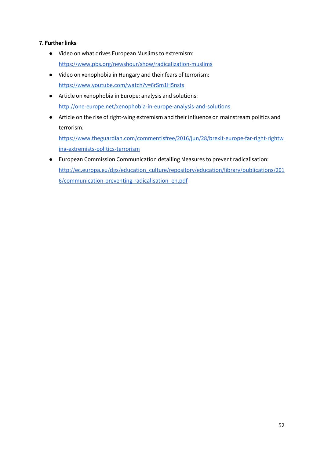#### 7. Further links

- Video on what drives European Muslims to extremism: <https://www.pbs.org/newshour/show/radicalization-muslims>
- Video on xenophobia in Hungary and their fears of terrorism: <https://www.youtube.com/watch?v=6rSm1H5nsts>
- Article on xenophobia in Europe: analysis and solutions: <http://one-europe.net/xenophobia-in-europe-analysis-and-solutions>
- Article on the rise of right-wing extremism and their influence on mainstream politics and terrorism:

[https://www.theguardian.com/commentisfree/2016/jun/28/brexit-europe-far-right-rightw](https://www.theguardian.com/commentisfree/2016/jun/28/brexit-europe-far-right-rightwing-extremists-politics-terrorism) [ing-extremists-politics-terrorism](https://www.theguardian.com/commentisfree/2016/jun/28/brexit-europe-far-right-rightwing-extremists-politics-terrorism)

● European Commission Communication detailing Measures to prevent radicalisation: [http://ec.europa.eu/dgs/education\\_culture/repository/education/library/publications/201](http://ec.europa.eu/dgs/education_culture/repository/education/library/publications/2016/communication-preventing-radicalisation_en.pdf) [6/communication-preventing-radicalisation\\_en.pdf](http://ec.europa.eu/dgs/education_culture/repository/education/library/publications/2016/communication-preventing-radicalisation_en.pdf)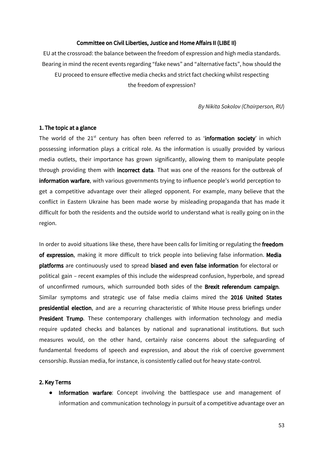#### Committee on Civil Liberties, Justice and Home Affairs II (LIBE II)

EU at the crossroad: the balance between the freedom of expression and high media standards. Bearing in mind the recent events regarding "fake news" and "alternative facts", how should the EU proceed to ensure effective media checks and strict fact checking whilst respecting the freedom of expression?

*By Nikita Sokolov (Chairperson, RU*)

#### 1. The topic at a glance

The world of the 21<sup>st</sup> century has often been referred to as 'information society' in which possessing information plays a critical role. As the information is usually provided by various media outlets, their importance has grown significantly, allowing them to manipulate people through providing them with **incorrect data**. That was one of the reasons for the outbreak of information warfare, with various governments trying to influence people's world perception to get a competitive advantage over their alleged opponent. For example, many believe that the conflict in Eastern Ukraine has been made worse by misleading propaganda that has made it difficult for both the residents and the outside world to understand what is really going on in the region.

In order to avoid situations like these, there have been calls for limiting or regulating the freedom of expression, making it more difficult to trick people into believing false information. Media platforms are continuously used to spread biased and even false information for electoral or political gain – recent examples of this include the widespread confusion, hyperbole, and spread of unconfirmed rumours, which surrounded both sides of the Brexit referendum campaign. Similar symptoms and strategic use of false media claims mired the 2016 United States presidential election, and are a recurring characteristic of White House press briefings under President Trump. These contemporary challenges with information technology and media require updated checks and balances by national and supranational institutions. But such measures would, on the other hand, certainly raise concerns about the safeguarding of fundamental freedoms of speech and expression, and about the risk of coercive government censorship. Russian media, for instance, is consistently called out for heavy state-control.

#### 2. Key Terms

• Information warfare: Concept involving the battlespace use and management of information and communication technology in pursuit of a competitive advantage over an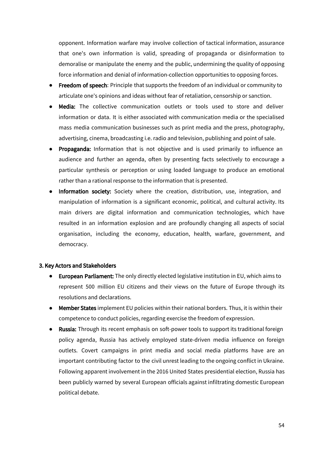opponent. Information warfare may involve collection of tactical information, assurance that one's own information is valid, spreading of propaganda or disinformation to demoralise or manipulate the enemy and the public, undermining the quality of opposing force information and denial of information-collection opportunities to opposing forces.

- Freedom of speech: Principle that supports the freedom of an individual or community to articulate one's opinions and ideas without fear of retaliation, censorship or sanction.
- Media: The collective communication outlets or tools used to store and deliver information or data. It is either associated with communication media or the specialised mass media communication businesses such as print media and the press, photography, advertising, cinema, broadcasting i.e. radio and television, publishing and point of sale.
- Propaganda: Information that is not objective and is used primarily to influence an audience and further an agenda, often by presenting facts selectively to encourage a particular synthesis or perception or using loaded language to produce an emotional rather than a rational response to the information that is presented.
- Information society: Society where the creation, distribution, use, integration, and manipulation of information is a significant economic, political, and cultural activity. Its main drivers are digital information and communication technologies, which have resulted in an information explosion and are profoundly changing all aspects of social organisation, including the economy, education, health, warfare, government, and democracy.

#### 3. Key Actors and Stakeholders

- European Parliament: The only directly elected legislative institution in EU, which aims to represent 500 million EU citizens and their views on the future of Europe through its resolutions and declarations.
- Member States implement EU policies within their national borders. Thus, it is within their competence to conduct policies, regarding exercise the freedom of expression.
- Russia: Through its recent emphasis on soft-power tools to support its traditional foreign policy agenda, Russia has actively employed state-driven media influence on foreign outlets. Covert campaigns in print media and social media platforms have are an important contributing factor to the civil unrest leading to the ongoing conflict in Ukraine. Following apparent involvement in the 2016 United States presidential election, Russia has been publicly warned by several European officials against infiltrating domestic European political debate.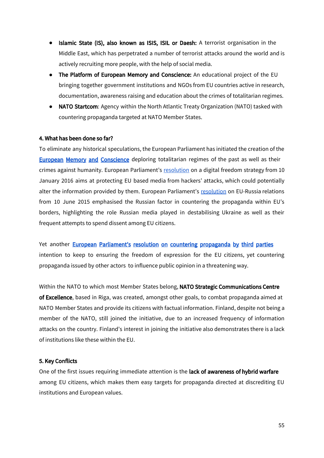- Islamic State (IS), also known as ISIS, ISIL or Daesh: A terrorist organisation in the Middle East, which has perpetrated a number of terrorist attacks around the world and is actively recruiting more people, with the help of social media.
- The Platform of European Memory and Conscience: An educational project of the EU bringing together government institutions and NGOs from EU countries active in research, documentation, awareness raising and education about the crimes of totalitarian regimes.
- NATO Startcom: Agency within the North Atlantic Treaty Organization (NATO) tasked with countering propaganda targeted at NATO Member States.

#### 4. What has been done so far?

To eliminate any historical speculations, the European Parliament has initiated the creation of the **European Memory and Conscience** deploring totalitarian regimes of the past as well as their crimes against humanity. European Parliament's [resolution](http://www.europarl.europa.eu/sides/getDoc.do?pubRef=-//EP//TEXT+TA+P8-TA-2016-0009+0+DOC+XML+V0//EN) on a digital freedom strategy from 10 January 2016 aims at protecting EU based media from hackers' attacks, which could potentially alter the information provided by them. European Parliament's [resolution](http://www.europarl.europa.eu/sides/getDoc.do?pubRef=-//EP//TEXT+TA+P8-TA-2015-0225+0+DOC+XML+V0//EN) on EU-Russia relations from 10 June 2015 emphasised the Russian factor in countering the propaganda within EU's borders, highlighting the role Russian media played in destabilising Ukraine as well as their frequent attempts to spend dissent among EU citizens.

Yet another **European [Parliament's](http://www.europarl.europa.eu/sides/getDoc.do?pubRef=-//EP//TEXT+TA+P8-TA-2015-0225+0+DOC+XML+V0//EN) resolution on countering propaganda by third parties** intention to keep to ensuring the freedom of expression for the EU citizens, yet countering propaganda issued by other actors to influence public opinion in a threatening way.

Within the NATO to which most Member States belong, NATO Strategic Communications Centre of Excellence, based in Riga, was created, amongst other goals, to combat propaganda aimed at NATO Member States and provide its citizens with factual information. Finland, despite not being a member of the NATO, still joined the initiative, due to an increased frequency of information attacks on the country. Finland's interest in joining the initiative also demonstrates there is a lack of institutions like these within the EU.

#### 5. Key Conflicts

One of the first issues requiring immediate attention is the lack of awareness of hybrid warfare among EU citizens, which makes them easy targets for propaganda directed at discrediting EU institutions and European values.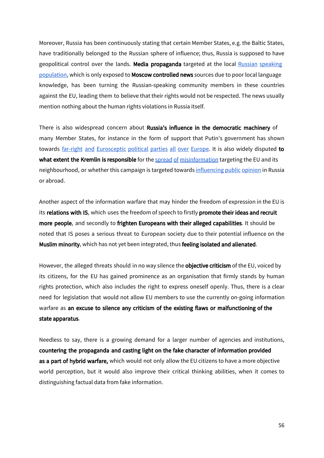Moreover, Russia has been continuously stating that certain Member States, e.g. the Baltic States, have traditionally belonged to the Russian sphere of influence; thus, Russia is supposed to have geopolitical control over the lands. Media propaganda targeted at the local Russian [speaking](https://www.fpri.org/article/2017/07/fighting-disinformation-baltic-states/) [population,](https://www.fpri.org/article/2017/07/fighting-disinformation-baltic-states/) which is only exposed to **Moscow controlled news** sources due to poor local language knowledge, has been turning the Russian-speaking community members in these countries against the EU, leading them to believe that their rights would not be respected. The news usually mention nothing about the human rights violations in Russia itself.

There is also widespread concern about Russia's influence in the democratic machinery of many Member States, for instance in the form of support that Putin's government has shown towards far-right and [Eurosceptic](https://www.euractiv.com/section/elections/news/putin-supports-far-right-to-divide-europe-timmermans/) political parties all over Europe. It is also widely disputed to what extent the Kremlin is responsible for the spread of [misinformation](http://www.bbc.co.uk/news/world-europe-39401637) targeting the EU and its neighbourhood, or whether this campaign is targeted towards [influencing](http://www.ecfr.eu/article/commentary_what_russia_thinks_of_europe5084) public opinion in Russia or abroad.

Another aspect of the information warfare that may hinder the freedom of expression in the EU is its relations with IS, which uses the freedom of speech to firstly promote their ideas and recruit more people, and secondly to frighten Europeans with their alleged capabilities. It should be noted that IS poses a serious threat to European society due to their potential influence on the Muslim minority, which has not yet been integrated, thus feeling isolated and alienated.

However, the alleged threats should in no way silence the **objective criticism** of the EU, voiced by its citizens, for the EU has gained prominence as an organisation that firmly stands by human rights protection, which also includes the right to express oneself openly. Thus, there is a clear need for legislation that would not allow EU members to use the currently on-going information warfare as an excuse to silence any criticism of the existing flaws or malfunctioning of the state apparatus.

Needless to say, there is a growing demand for a larger number of agencies and institutions, countering the propaganda and casting light on the fake character of information provided as a part of hybrid warfare, which would not only allow the EU citizens to have a more objective world perception, but it would also improve their critical thinking abilities, when it comes to distinguishing factual data from fake information.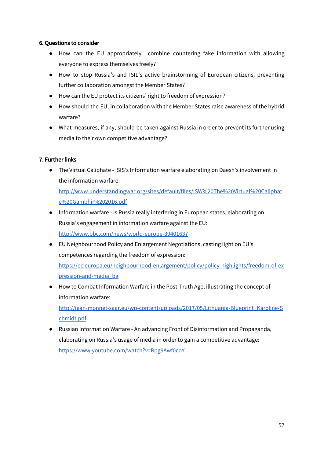#### 6. Questions to consider

- How can the EU appropriately combine countering fake information with allowing everyone to express themselves freely?
- How to stop Russia's and ISIL's active brainstorming of European citizens, preventing further collaboration amongst the Member States?
- How can the EU protect its citizens' right to freedom of expression?
- How should the EU, in collaboration with the Member States raise awareness of the hybrid warfare?
- What measures, if any, should be taken against Russia in order to prevent its further using media to their own competitive advantage?

#### 7. Further links

● The Virtual Caliphate - ISIS's Information warfare elaborating on Daesh's involvement in the information warfare:

[http://www.understandingwar.org/sites/default/files/ISW%20The%20Virtual%20Caliphat](http://www.understandingwar.org/sites/default/files/ISW%20The%20Virtual%20Caliphate%20Gambhir%202016.pdf) [e%20Gambhir%202016.pdf](http://www.understandingwar.org/sites/default/files/ISW%20The%20Virtual%20Caliphate%20Gambhir%202016.pdf)

- Information warfare Is Russia really interfering in European states, elaborating on Russia's engagement in information warfare against the EU: <http://www.bbc.com/news/world-europe-39401637>
- EU Neighbourhood Policy and Enlargement Negotiations, casting light on EU's competences regarding the freedom of expression: [https://ec.europa.eu/neighbourhood-enlargement/policy/policy-highlights/freedom-of-ex](https://ec.europa.eu/neighbourhood-enlargement/policy/policy-highlights/freedom-of-expression-and-media_bg) [pression-and-media\\_bg](https://ec.europa.eu/neighbourhood-enlargement/policy/policy-highlights/freedom-of-expression-and-media_bg)
- How to Combat Information Warfare in the Post-Truth Age, illustrating the concept of information warfare: [http://jean-monnet-saar.eu/wp-content/uploads/2017/05/Lithuania-Blueprint\\_Karoline-S](http://jean-monnet-saar.eu/wp-content/uploads/2017/05/Lithuania-Blueprint_Karoline-Schmidt.pdf) [chmidt.pdf](http://jean-monnet-saar.eu/wp-content/uploads/2017/05/Lithuania-Blueprint_Karoline-Schmidt.pdf)
- Russian Information Warfare An advancing Front of Disinformation and Propaganda, elaborating on Russia's usage of media in order to gain a competitive advantage: <https://www.youtube.com/watch?v=Rpg9Awf0coY>